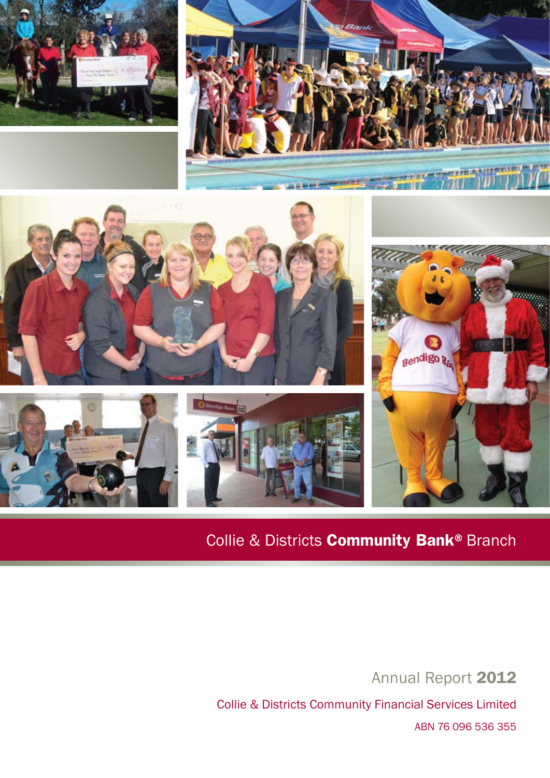



Collie & Districts **Community Bank®** Branch

Annual Report 2012

Collie & Districts Community Financial Services Limited

ABN 76 096 536 355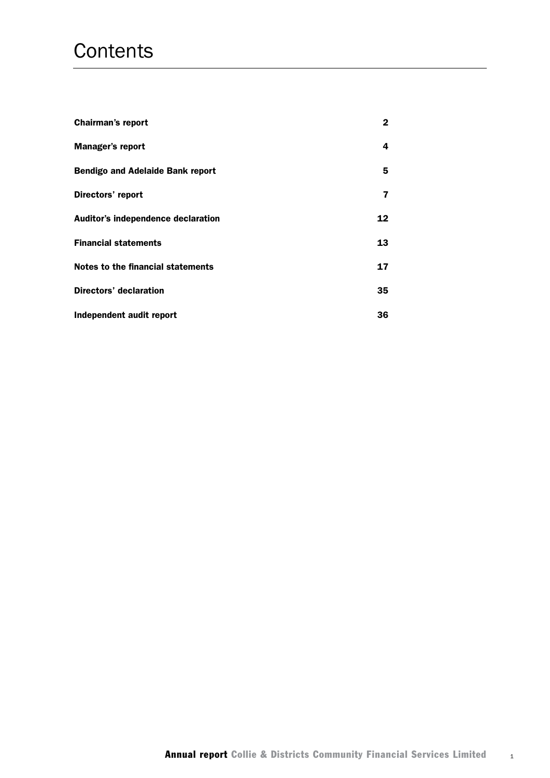# **Contents**

| <b>Chairman's report</b>                | 2  |
|-----------------------------------------|----|
| <b>Manager's report</b>                 | 4  |
| <b>Bendigo and Adelaide Bank report</b> | 5  |
| Directors' report                       | 7  |
| Auditor's independence declaration      | 12 |
| <b>Financial statements</b>             | 13 |
| Notes to the financial statements       | 17 |
| Directors' declaration                  | 35 |
| Independent audit report                | 36 |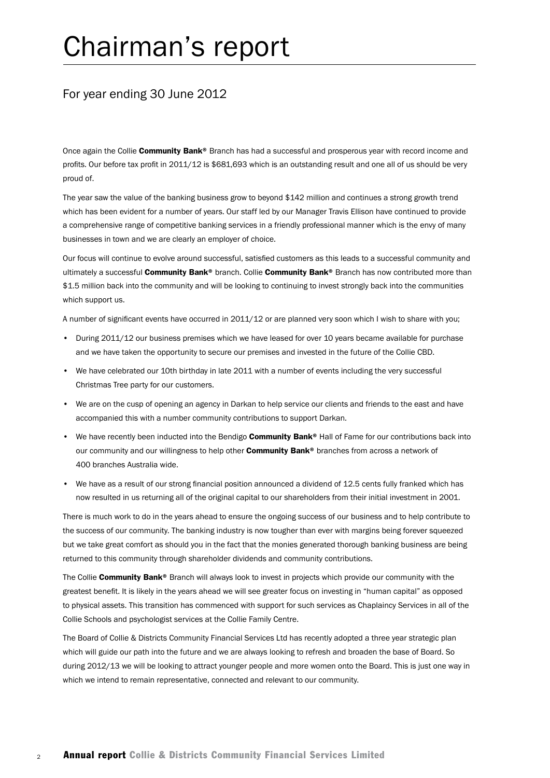# Chairman's report

## For year ending 30 June 2012

Once again the Collie **Community Bank®** Branch has had a successful and prosperous year with record income and profits. Our before tax profit in 2011/12 is \$681,693 which is an outstanding result and one all of us should be very proud of.

The year saw the value of the banking business grow to beyond \$142 million and continues a strong growth trend which has been evident for a number of years. Our staff led by our Manager Travis Ellison have continued to provide a comprehensive range of competitive banking services in a friendly professional manner which is the envy of many businesses in town and we are clearly an employer of choice.

Our focus will continue to evolve around successful, satisfied customers as this leads to a successful community and ultimately a successful Community Bank® branch. Collie Community Bank® Branch has now contributed more than \$1.5 million back into the community and will be looking to continuing to invest strongly back into the communities which support us.

A number of significant events have occurred in 2011/12 or are planned very soon which I wish to share with you;

- During 2011/12 our business premises which we have leased for over 10 years became available for purchase and we have taken the opportunity to secure our premises and invested in the future of the Collie CBD.
- We have celebrated our 10th birthday in late 2011 with a number of events including the very successful Christmas Tree party for our customers.
- We are on the cusp of opening an agency in Darkan to help service our clients and friends to the east and have accompanied this with a number community contributions to support Darkan.
- We have recently been inducted into the Bendigo Community Bank® Hall of Fame for our contributions back into our community and our willingness to help other **Community Bank**<sup>®</sup> branches from across a network of 400 branches Australia wide.
- We have as a result of our strong financial position announced a dividend of 12.5 cents fully franked which has now resulted in us returning all of the original capital to our shareholders from their initial investment in 2001.

There is much work to do in the years ahead to ensure the ongoing success of our business and to help contribute to the success of our community. The banking industry is now tougher than ever with margins being forever squeezed but we take great comfort as should you in the fact that the monies generated thorough banking business are being returned to this community through shareholder dividends and community contributions.

The Collie Community Bank® Branch will always look to invest in projects which provide our community with the greatest benefit. It is likely in the years ahead we will see greater focus on investing in "human capital" as opposed to physical assets. This transition has commenced with support for such services as Chaplaincy Services in all of the Collie Schools and psychologist services at the Collie Family Centre.

The Board of Collie & Districts Community Financial Services Ltd has recently adopted a three year strategic plan which will guide our path into the future and we are always looking to refresh and broaden the base of Board. So during 2012/13 we will be looking to attract younger people and more women onto the Board. This is just one way in which we intend to remain representative, connected and relevant to our community.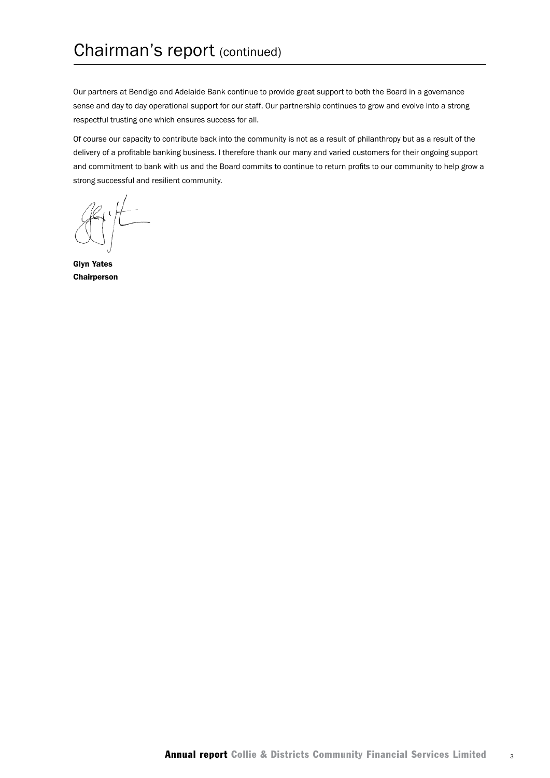Our partners at Bendigo and Adelaide Bank continue to provide great support to both the Board in a governance sense and day to day operational support for our staff. Our partnership continues to grow and evolve into a strong respectful trusting one which ensures success for all.

Of course our capacity to contribute back into the community is not as a result of philanthropy but as a result of the delivery of a profitable banking business. I therefore thank our many and varied customers for their ongoing support and commitment to bank with us and the Board commits to continue to return profits to our community to help grow a strong successful and resilient community.

Glyn Yates **Chairperson**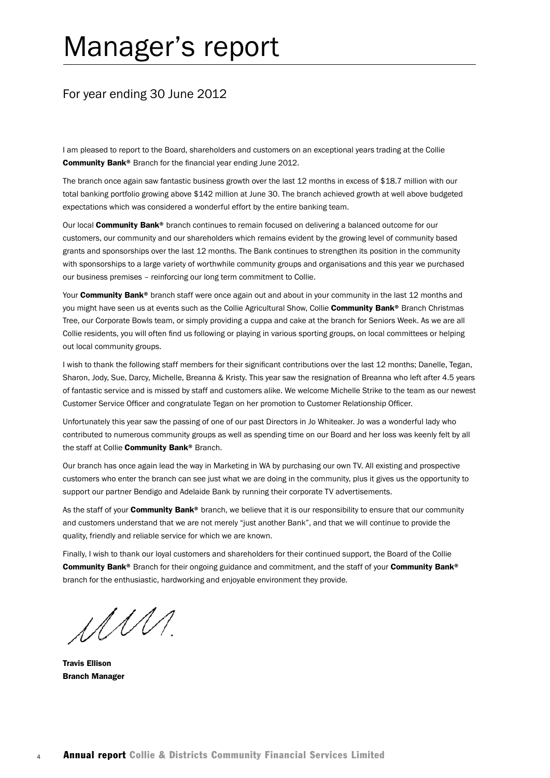# Manager's report

## For year ending 30 June 2012

I am pleased to report to the Board, shareholders and customers on an exceptional years trading at the Collie Community Bank® Branch for the financial year ending June 2012.

The branch once again saw fantastic business growth over the last 12 months in excess of \$18.7 million with our total banking portfolio growing above \$142 million at June 30. The branch achieved growth at well above budgeted expectations which was considered a wonderful effort by the entire banking team.

Our local Community Bank® branch continues to remain focused on delivering a balanced outcome for our customers, our community and our shareholders which remains evident by the growing level of community based grants and sponsorships over the last 12 months. The Bank continues to strengthen its position in the community with sponsorships to a large variety of worthwhile community groups and organisations and this year we purchased our business premises – reinforcing our long term commitment to Collie.

Your Community Bank® branch staff were once again out and about in your community in the last 12 months and you might have seen us at events such as the Collie Agricultural Show, Collie **Community Bank®** Branch Christmas Tree, our Corporate Bowls team, or simply providing a cuppa and cake at the branch for Seniors Week. As we are all Collie residents, you will often find us following or playing in various sporting groups, on local committees or helping out local community groups.

I wish to thank the following staff members for their significant contributions over the last 12 months; Danelle, Tegan, Sharon, Jody, Sue, Darcy, Michelle, Breanna & Kristy. This year saw the resignation of Breanna who left after 4.5 years of fantastic service and is missed by staff and customers alike. We welcome Michelle Strike to the team as our newest Customer Service Officer and congratulate Tegan on her promotion to Customer Relationship Officer.

Unfortunately this year saw the passing of one of our past Directors in Jo Whiteaker. Jo was a wonderful lady who contributed to numerous community groups as well as spending time on our Board and her loss was keenly felt by all the staff at Collie Community Bank® Branch.

Our branch has once again lead the way in Marketing in WA by purchasing our own TV. All existing and prospective customers who enter the branch can see just what we are doing in the community, plus it gives us the opportunity to support our partner Bendigo and Adelaide Bank by running their corporate TV advertisements.

As the staff of your **Community Bank®** branch, we believe that it is our responsibility to ensure that our community and customers understand that we are not merely "just another Bank", and that we will continue to provide the quality, friendly and reliable service for which we are known.

Finally, I wish to thank our loyal customers and shareholders for their continued support, the Board of the Collie Community Bank<sup>®</sup> Branch for their ongoing guidance and commitment, and the staff of your Community Bank<sup>®</sup> branch for the enthusiastic, hardworking and enjoyable environment they provide.

MM.

Travis Ellison Branch Manager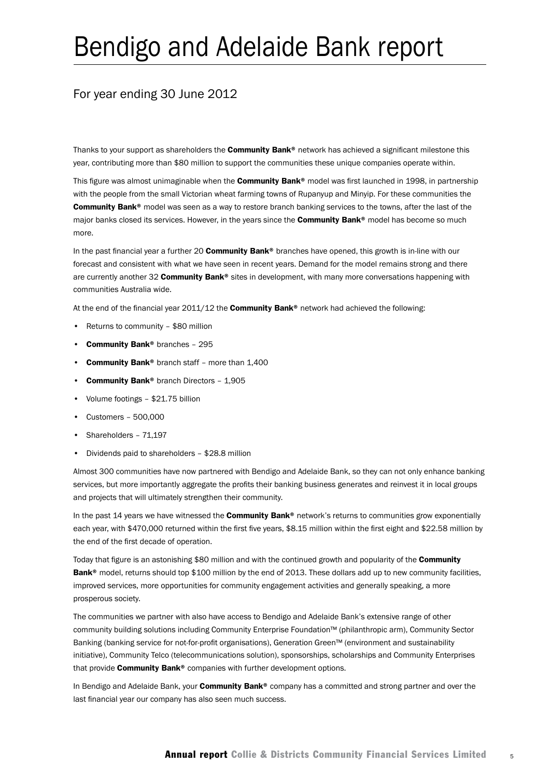# Bendigo and Adelaide Bank report

# For year ending 30 June 2012

Thanks to your support as shareholders the **Community Bank®** network has achieved a significant milestone this year, contributing more than \$80 million to support the communities these unique companies operate within.

This figure was almost unimaginable when the **Community Bank®** model was first launched in 1998, in partnership with the people from the small Victorian wheat farming towns of Rupanyup and Minyip. For these communities the Community Bank® model was seen as a way to restore branch banking services to the towns, after the last of the major banks closed its services. However, in the years since the **Community Bank®** model has become so much more.

In the past financial year a further 20 Community Bank<sup>®</sup> branches have opened, this growth is in-line with our forecast and consistent with what we have seen in recent years. Demand for the model remains strong and there are currently another 32 Community Bank® sites in development, with many more conversations happening with communities Australia wide.

At the end of the financial year  $2011/12$  the **Community Bank®** network had achieved the following:

- Returns to community \$80 million
- Community Bank® branches 295
- Community Bank<sup>®</sup> branch staff more than 1,400
- Community Bank® branch Directors 1,905
- Volume footings \$21.75 billion
- Customers 500,000
- Shareholders 71,197
- Dividends paid to shareholders \$28.8 million

Almost 300 communities have now partnered with Bendigo and Adelaide Bank, so they can not only enhance banking services, but more importantly aggregate the profits their banking business generates and reinvest it in local groups and projects that will ultimately strengthen their community.

In the past 14 years we have witnessed the **Community Bank®** network's returns to communities grow exponentially each year, with \$470,000 returned within the first five years, \$8.15 million within the first eight and \$22.58 million by the end of the first decade of operation.

Today that figure is an astonishing \$80 million and with the continued growth and popularity of the Community Bank<sup>®</sup> model, returns should top \$100 million by the end of 2013. These dollars add up to new community facilities, improved services, more opportunities for community engagement activities and generally speaking, a more prosperous society.

The communities we partner with also have access to Bendigo and Adelaide Bank's extensive range of other community building solutions including Community Enterprise Foundation™ (philanthropic arm), Community Sector Banking (banking service for not-for-profit organisations), Generation Green™ (environment and sustainability initiative), Community Telco (telecommunications solution), sponsorships, scholarships and Community Enterprises that provide **Community Bank®** companies with further development options.

In Bendigo and Adelaide Bank, your **Community Bank®** company has a committed and strong partner and over the last financial year our company has also seen much success.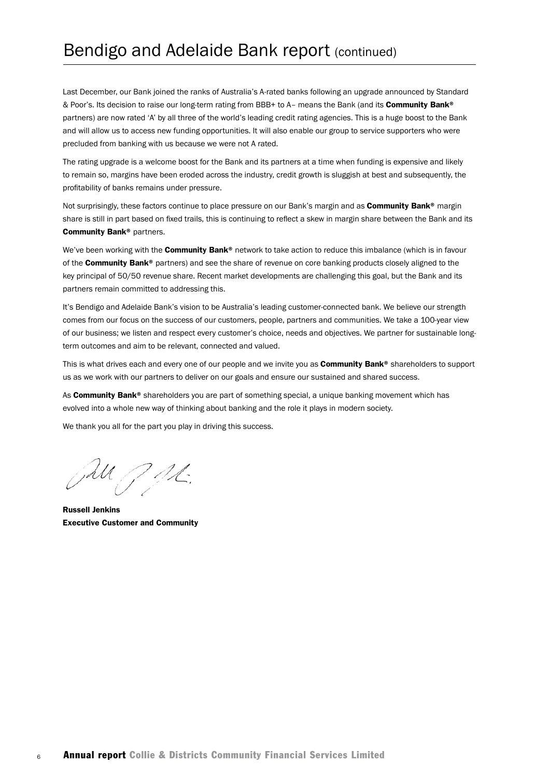Last December, our Bank joined the ranks of Australia's A-rated banks following an upgrade announced by Standard & Poor's. Its decision to raise our long-term rating from BBB+ to A- means the Bank (and its Community Bank® partners) are now rated 'A' by all three of the world's leading credit rating agencies. This is a huge boost to the Bank and will allow us to access new funding opportunities. It will also enable our group to service supporters who were precluded from banking with us because we were not A rated.

The rating upgrade is a welcome boost for the Bank and its partners at a time when funding is expensive and likely to remain so, margins have been eroded across the industry, credit growth is sluggish at best and subsequently, the profitability of banks remains under pressure.

Not surprisingly, these factors continue to place pressure on our Bank's margin and as Community Bank® margin share is still in part based on fixed trails, this is continuing to reflect a skew in margin share between the Bank and its Community Bank® partners.

We've been working with the Community Bank® network to take action to reduce this imbalance (which is in favour of the Community Bank® partners) and see the share of revenue on core banking products closely aligned to the key principal of 50/50 revenue share. Recent market developments are challenging this goal, but the Bank and its partners remain committed to addressing this.

It's Bendigo and Adelaide Bank's vision to be Australia's leading customer-connected bank. We believe our strength comes from our focus on the success of our customers, people, partners and communities. We take a 100-year view of our business; we listen and respect every customer's choice, needs and objectives. We partner for sustainable longterm outcomes and aim to be relevant, connected and valued.

This is what drives each and every one of our people and we invite you as **Community Bank®** shareholders to support us as we work with our partners to deliver on our goals and ensure our sustained and shared success.

As **Community Bank®** shareholders you are part of something special, a unique banking movement which has evolved into a whole new way of thinking about banking and the role it plays in modern society.

We thank you all for the part you play in driving this success.

IW JAK.

Russell Jenkins Executive Customer and Community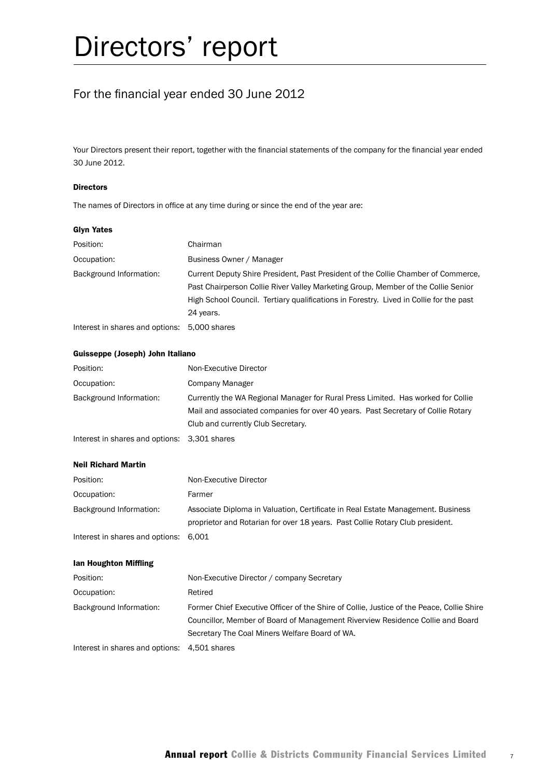# Directors' report

# For the financial year ended 30 June 2012

Your Directors present their report, together with the financial statements of the company for the financial year ended 30 June 2012.

#### **Directors**

The names of Directors in office at any time during or since the end of the year are:

| <b>Glyn Yates</b>                |                                                                                                                                                                                                                                                                               |
|----------------------------------|-------------------------------------------------------------------------------------------------------------------------------------------------------------------------------------------------------------------------------------------------------------------------------|
| Position:                        | Chairman                                                                                                                                                                                                                                                                      |
| Occupation:                      | Business Owner / Manager                                                                                                                                                                                                                                                      |
| Background Information:          | Current Deputy Shire President, Past President of the Collie Chamber of Commerce,<br>Past Chairperson Collie River Valley Marketing Group, Member of the Collie Senior<br>High School Council. Tertiary qualifications in Forestry. Lived in Collie for the past<br>24 years. |
| Interest in shares and options:  | 5,000 shares                                                                                                                                                                                                                                                                  |
| Guisseppe (Joseph) John Italiano |                                                                                                                                                                                                                                                                               |
| Position:                        | Non-Executive Director                                                                                                                                                                                                                                                        |
| Occupation:                      | Company Manager                                                                                                                                                                                                                                                               |
| Background Information:          | Currently the WA Regional Manager for Rural Press Limited. Has worked for Collie<br>Mail and associated companies for over 40 years. Past Secretary of Collie Rotary<br>Club and currently Club Secretary.                                                                    |
| Interest in shares and options:  | 3,301 shares                                                                                                                                                                                                                                                                  |
| <b>Neil Richard Martin</b>       |                                                                                                                                                                                                                                                                               |
| Position:                        | Non-Executive Director                                                                                                                                                                                                                                                        |
| Occupation:                      | Farmer                                                                                                                                                                                                                                                                        |
| Background Information:          | Associate Diploma in Valuation, Certificate in Real Estate Management. Business<br>proprietor and Rotarian for over 18 years. Past Collie Rotary Club president.                                                                                                              |
| Interest in shares and options:  | 6,001                                                                                                                                                                                                                                                                         |
| Ian Houghton Miffling            |                                                                                                                                                                                                                                                                               |
| Position:                        | Non-Executive Director / company Secretary                                                                                                                                                                                                                                    |
| Occupation:                      | Retired                                                                                                                                                                                                                                                                       |
| Background Information:          | Former Chief Executive Officer of the Shire of Collie, Justice of the Peace, Collie Shire<br>Councillor, Member of Board of Management Riverview Residence Collie and Board<br>Secretary The Coal Miners Welfare Board of WA.                                                 |
| Interest in shares and options:  | 4,501 shares                                                                                                                                                                                                                                                                  |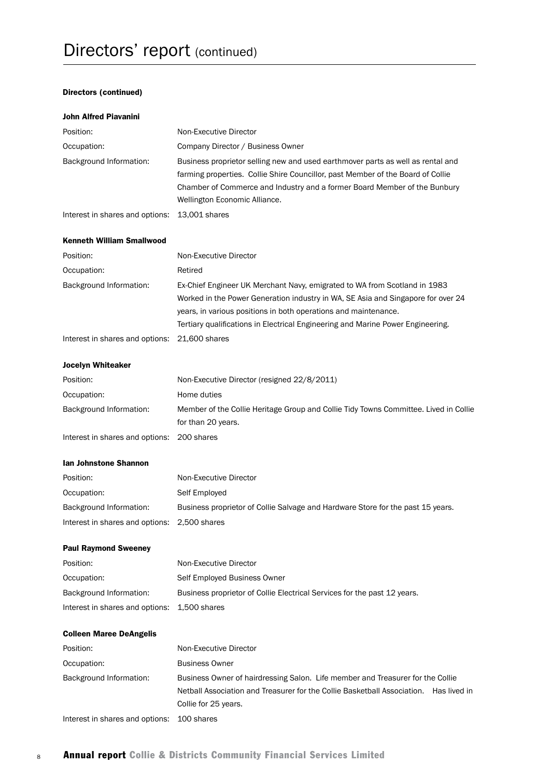#### Directors (continued)

| John Alfred Piavanini            |                                                                                                                                                                                                                                                                                                                     |
|----------------------------------|---------------------------------------------------------------------------------------------------------------------------------------------------------------------------------------------------------------------------------------------------------------------------------------------------------------------|
| Position:                        | Non-Executive Director                                                                                                                                                                                                                                                                                              |
| Occupation:                      | Company Director / Business Owner                                                                                                                                                                                                                                                                                   |
| Background Information:          | Business proprietor selling new and used earthmover parts as well as rental and<br>farming properties. Collie Shire Councillor, past Member of the Board of Collie<br>Chamber of Commerce and Industry and a former Board Member of the Bunbury<br>Wellington Economic Alliance.                                    |
| Interest in shares and options:  | 13,001 shares                                                                                                                                                                                                                                                                                                       |
| <b>Kenneth William Smallwood</b> |                                                                                                                                                                                                                                                                                                                     |
| Position:                        | Non-Executive Director                                                                                                                                                                                                                                                                                              |
| Occupation:                      | Retired                                                                                                                                                                                                                                                                                                             |
| Background Information:          | Ex-Chief Engineer UK Merchant Navy, emigrated to WA from Scotland in 1983<br>Worked in the Power Generation industry in WA, SE Asia and Singapore for over 24<br>years, in various positions in both operations and maintenance.<br>Tertiary qualifications in Electrical Engineering and Marine Power Engineering. |
| Interest in shares and options:  | 21,600 shares                                                                                                                                                                                                                                                                                                       |
| <b>Jocelyn Whiteaker</b>         |                                                                                                                                                                                                                                                                                                                     |
| Position:                        | Non-Executive Director (resigned 22/8/2011)                                                                                                                                                                                                                                                                         |
| Occupation:                      | Home duties                                                                                                                                                                                                                                                                                                         |
| Background Information:          | Member of the Collie Heritage Group and Collie Tidy Towns Committee. Lived in Collie<br>for than 20 years.                                                                                                                                                                                                          |
| Interest in shares and options:  | 200 shares                                                                                                                                                                                                                                                                                                          |
| Ian Johnstone Shannon            |                                                                                                                                                                                                                                                                                                                     |
| Position:                        | Non-Executive Director                                                                                                                                                                                                                                                                                              |
| Occupation:                      | Self Employed                                                                                                                                                                                                                                                                                                       |
| Background Information:          | Business proprietor of Collie Salvage and Hardware Store for the past 15 years.                                                                                                                                                                                                                                     |
| Interest in shares and options:  | 2,500 shares                                                                                                                                                                                                                                                                                                        |
| <b>Paul Raymond Sweeney</b>      |                                                                                                                                                                                                                                                                                                                     |
| Position:                        | Non-Executive Director                                                                                                                                                                                                                                                                                              |
| Occupation:                      | Self Employed Business Owner                                                                                                                                                                                                                                                                                        |
| Background Information:          | Business proprietor of Collie Electrical Services for the past 12 years.                                                                                                                                                                                                                                            |
| Interest in shares and options:  | 1,500 shares                                                                                                                                                                                                                                                                                                        |
| <b>Colleen Maree DeAngelis</b>   |                                                                                                                                                                                                                                                                                                                     |
| Position:                        | Non-Executive Director                                                                                                                                                                                                                                                                                              |
| Occupation:                      | <b>Business Owner</b>                                                                                                                                                                                                                                                                                               |
| Background Information:          | Business Owner of hairdressing Salon. Life member and Treasurer for the Collie<br>Netball Association and Treasurer for the Collie Basketball Association. Has lived in<br>Collie for 25 years.                                                                                                                     |
| Interest in shares and options:  | 100 shares                                                                                                                                                                                                                                                                                                          |
|                                  |                                                                                                                                                                                                                                                                                                                     |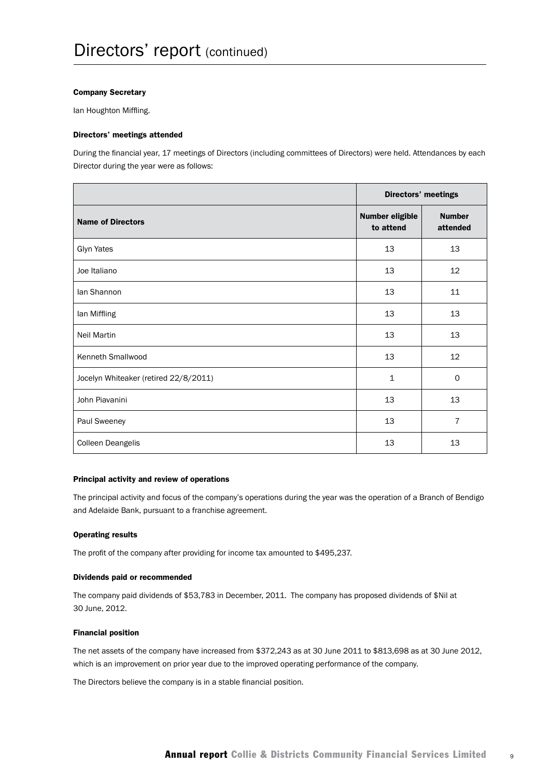#### Company Secretary

Ian Houghton Miffling.

#### Directors' meetings attended

During the financial year, 17 meetings of Directors (including committees of Directors) were held. Attendances by each Director during the year were as follows:

|                                       | <b>Directors' meetings</b>   |                           |
|---------------------------------------|------------------------------|---------------------------|
| <b>Name of Directors</b>              | Number eligible<br>to attend | <b>Number</b><br>attended |
| <b>Glyn Yates</b>                     | 13                           | 13                        |
| Joe Italiano                          | 13                           | 12                        |
| lan Shannon                           | 13                           | 11                        |
| lan Miffling                          | 13                           | 13                        |
| <b>Neil Martin</b>                    | 13                           | 13                        |
| Kenneth Smallwood                     | 13                           | $12 \overline{ }$         |
| Jocelyn Whiteaker (retired 22/8/2011) | $\mathbf{1}$                 | 0                         |
| John Piavanini                        | 13                           | 13                        |
| Paul Sweeney                          | 13                           | $\overline{7}$            |
| <b>Colleen Deangelis</b>              | 13                           | 13                        |

#### Principal activity and review of operations

The principal activity and focus of the company's operations during the year was the operation of a Branch of Bendigo and Adelaide Bank, pursuant to a franchise agreement.

#### Operating results

The profit of the company after providing for income tax amounted to \$495,237.

#### Dividends paid or recommended

The company paid dividends of \$53,783 in December, 2011. The company has proposed dividends of \$Nil at 30 June, 2012.

#### Financial position

The net assets of the company have increased from \$372,243 as at 30 June 2011 to \$813,698 as at 30 June 2012, which is an improvement on prior year due to the improved operating performance of the company.

The Directors believe the company is in a stable financial position.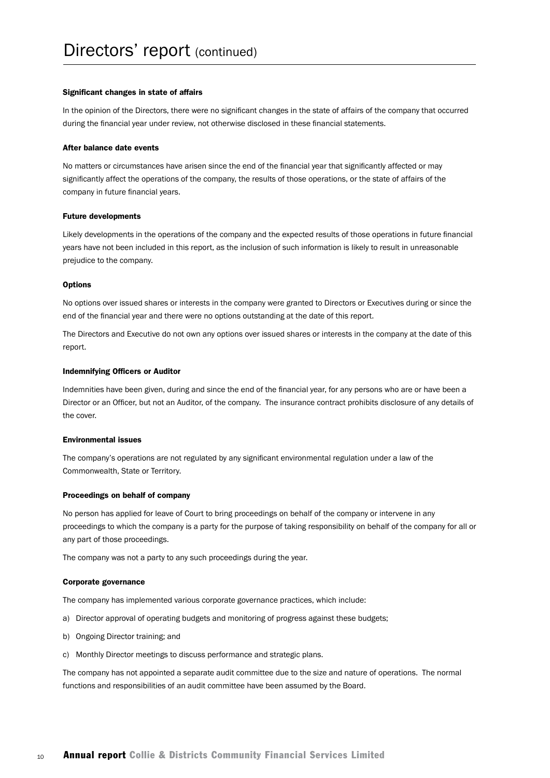#### Significant changes in state of affairs

In the opinion of the Directors, there were no significant changes in the state of affairs of the company that occurred during the financial year under review, not otherwise disclosed in these financial statements.

#### After balance date events

No matters or circumstances have arisen since the end of the financial year that significantly affected or may significantly affect the operations of the company, the results of those operations, or the state of affairs of the company in future financial years.

#### Future developments

Likely developments in the operations of the company and the expected results of those operations in future financial years have not been included in this report, as the inclusion of such information is likely to result in unreasonable prejudice to the company.

#### **Options**

No options over issued shares or interests in the company were granted to Directors or Executives during or since the end of the financial year and there were no options outstanding at the date of this report.

The Directors and Executive do not own any options over issued shares or interests in the company at the date of this report.

#### Indemnifying Officers or Auditor

Indemnities have been given, during and since the end of the financial year, for any persons who are or have been a Director or an Officer, but not an Auditor, of the company. The insurance contract prohibits disclosure of any details of the cover.

#### Environmental issues

The company's operations are not regulated by any significant environmental regulation under a law of the Commonwealth, State or Territory.

#### Proceedings on behalf of company

No person has applied for leave of Court to bring proceedings on behalf of the company or intervene in any proceedings to which the company is a party for the purpose of taking responsibility on behalf of the company for all or any part of those proceedings.

The company was not a party to any such proceedings during the year.

#### Corporate governance

The company has implemented various corporate governance practices, which include:

- a) Director approval of operating budgets and monitoring of progress against these budgets;
- b) Ongoing Director training; and
- c) Monthly Director meetings to discuss performance and strategic plans.

The company has not appointed a separate audit committee due to the size and nature of operations. The normal functions and responsibilities of an audit committee have been assumed by the Board.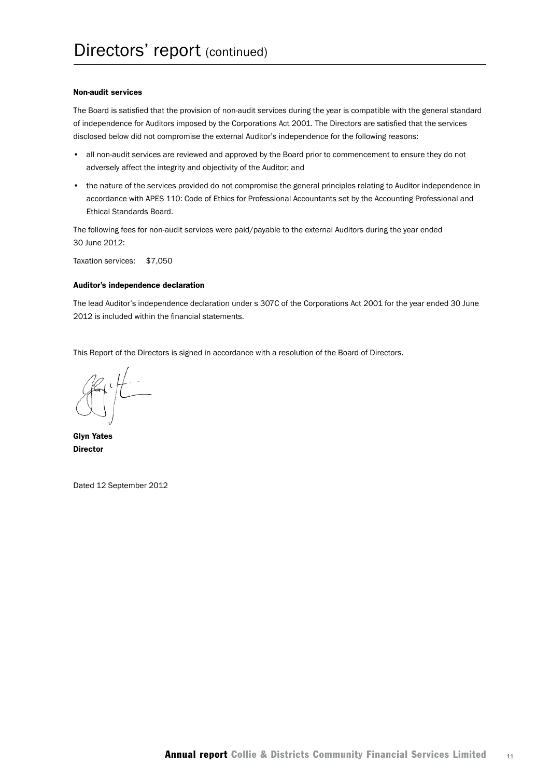#### Non-audit services

The Board is satisfied that the provision of non-audit services during the year is compatible with the general standard of independence for Auditors imposed by the Corporations Act 2001. The Directors are satisfied that the services disclosed below did not compromise the external Auditor's independence for the following reasons:

- all non-audit services are reviewed and approved by the Board prior to commencement to ensure they do not adversely affect the integrity and objectivity of the Auditor; and
- the nature of the services provided do not compromise the general principles relating to Auditor independence in accordance with APES 110: Code of Ethics for Professional Accountants set by the Accounting Professional and Ethical Standards Board.

The following fees for non-audit services were paid/payable to the external Auditors during the year ended 30 June 2012:

Taxation services: \$7,050

#### Auditor's independence declaration

The lead Auditor's independence declaration under s 307C of the Corporations Act 2001 for the year ended 30 June 2012 is included within the financial statements.

This Report of the Directors is signed in accordance with a resolution of the Board of Directors.

Glyn Yates Director

Dated 12 September 2012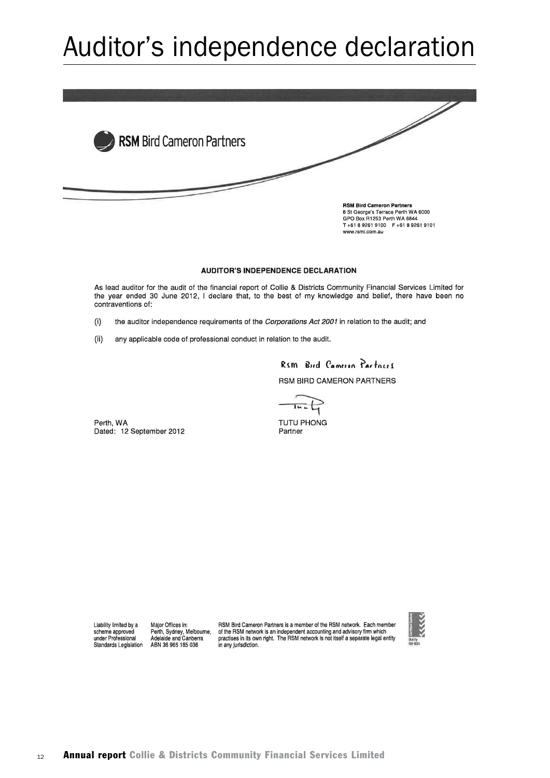# Auditor's independence declaration



#### **AUDITOR'S INDEPENDENCE DECLARATION**

As lead auditor for the audit of the financial report of Collie & Districts Community Financial Services Limited for the year ended 30 June 2012, I declare that, to the best of my knowledge and belief, there have been no contraventions of:

- $(i)$ the auditor independence requirements of the Corporations Act 2001 in relation to the audit; and
- $(i)$ any applicable code of professional conduct in relation to the audit.

Rsm Bird Cameron Partners **RSM BIRD CAMERON PARTNERS** 

**TUTU PHONG** Partner

Perth, WA Dated: 12 September 2012

Liability limited by a scheme approved<br>under Professional Standards Legislation

Major Offices in: Perth, Sydney, Melbourne,<br>Adelaide and Canberra ABN 36 965 185 036

RSM Bird Cameron Partners is a member of the RSM network. Each member of the HSM network is an independent accounting and advisory firm which<br>practises in its own right. The HSM network is not itself a separate legal entity in any jurisdiction.

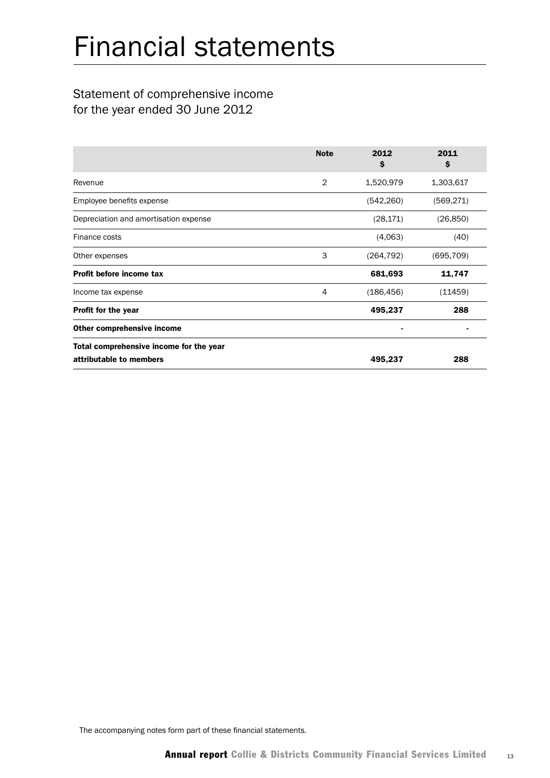# Statement of comprehensive income for the year ended 30 June 2012

| <b>Note</b>    | 2012<br>\$ | 2011<br>\$ |
|----------------|------------|------------|
| $\overline{2}$ | 1,520,979  | 1,303,617  |
|                | (542, 260) | (569, 271) |
|                | (28, 171)  | (26, 850)  |
|                | (4,063)    | (40)       |
| 3              | (264, 792) | (695, 709) |
|                | 681,693    | 11,747     |
| 4              | (186, 456) | (11459)    |
|                | 495,237    | 288        |
|                |            |            |
|                | 495,237    | 288        |
|                |            |            |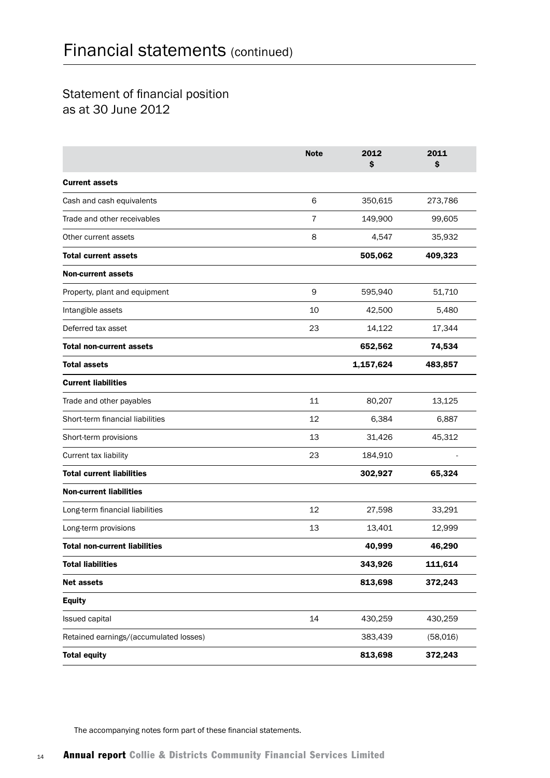# Statement of financial position as at 30 June 2012

|                                        | <b>Note</b> | 2012<br>s | 2011<br>Ś |
|----------------------------------------|-------------|-----------|-----------|
| <b>Current assets</b>                  |             |           |           |
| Cash and cash equivalents              | 6           | 350,615   | 273,786   |
| Trade and other receivables            | 7           | 149,900   | 99,605    |
| Other current assets                   | 8           | 4,547     | 35,932    |
| <b>Total current assets</b>            |             | 505,062   | 409,323   |
| <b>Non-current assets</b>              |             |           |           |
| Property, plant and equipment          | 9           | 595,940   | 51,710    |
| Intangible assets                      | 10          | 42,500    | 5,480     |
| Deferred tax asset                     | 23          | 14,122    | 17,344    |
| <b>Total non-current assets</b>        |             | 652,562   | 74,534    |
| <b>Total assets</b>                    |             | 1,157,624 | 483,857   |
| <b>Current liabilities</b>             |             |           |           |
| Trade and other payables               | 11          | 80,207    | 13,125    |
| Short-term financial liabilities       | 12          | 6,384     | 6,887     |
| Short-term provisions                  | 13          | 31,426    | 45,312    |
| Current tax liability                  | 23          | 184,910   |           |
| <b>Total current liabilities</b>       |             | 302,927   | 65,324    |
| <b>Non-current liabilities</b>         |             |           |           |
| Long-term financial liabilities        | 12          | 27,598    | 33,291    |
| Long-term provisions                   | 13          | 13,401    | 12,999    |
| <b>Total non-current liabilities</b>   |             | 40,999    | 46,290    |
| <b>Total liabilities</b>               |             | 343,926   | 111,614   |
| <b>Net assets</b>                      |             | 813,698   | 372,243   |
| <b>Equity</b>                          |             |           |           |
| Issued capital                         | 14          | 430,259   | 430,259   |
| Retained earnings/(accumulated losses) |             | 383,439   | (58,016)  |
| <b>Total equity</b>                    |             | 813,698   | 372,243   |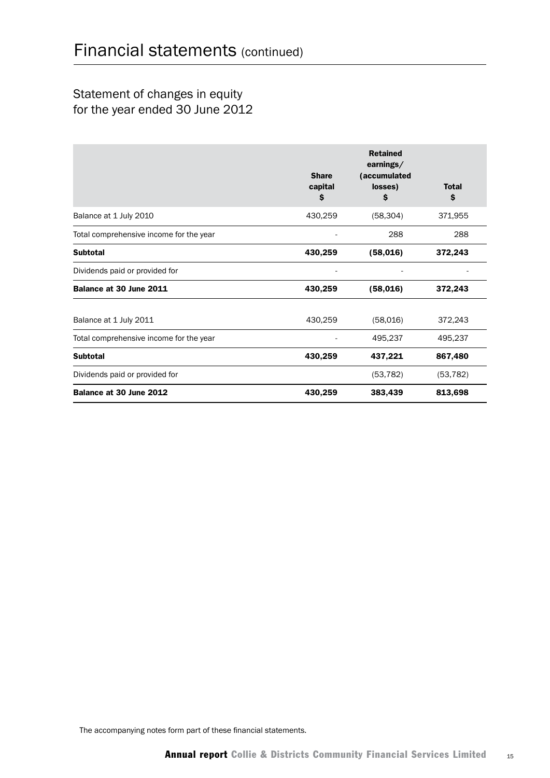# Statement of changes in equity for the year ended 30 June 2012

|                                         | <b>Share</b><br>capital<br>Ş | <b>Retained</b><br>earnings/<br>(accumulated<br>losses)<br>\$ | <b>Total</b><br>\$ |
|-----------------------------------------|------------------------------|---------------------------------------------------------------|--------------------|
| Balance at 1 July 2010                  | 430,259                      | (58, 304)                                                     | 371,955            |
| Total comprehensive income for the year |                              | 288                                                           | 288                |
| <b>Subtotal</b>                         | 430,259                      | (58,016)                                                      | 372,243            |
| Dividends paid or provided for          |                              |                                                               |                    |
| Balance at 30 June 2011                 | 430,259                      | (58,016)                                                      | 372,243            |
| Balance at 1 July 2011                  | 430,259                      | (58,016)                                                      | 372,243            |
| Total comprehensive income for the year |                              | 495,237                                                       | 495,237            |
| <b>Subtotal</b>                         | 430,259                      | 437,221                                                       | 867,480            |
| Dividends paid or provided for          |                              | (53, 782)                                                     | (53, 782)          |
| Balance at 30 June 2012                 | 430,259                      | 383,439                                                       | 813,698            |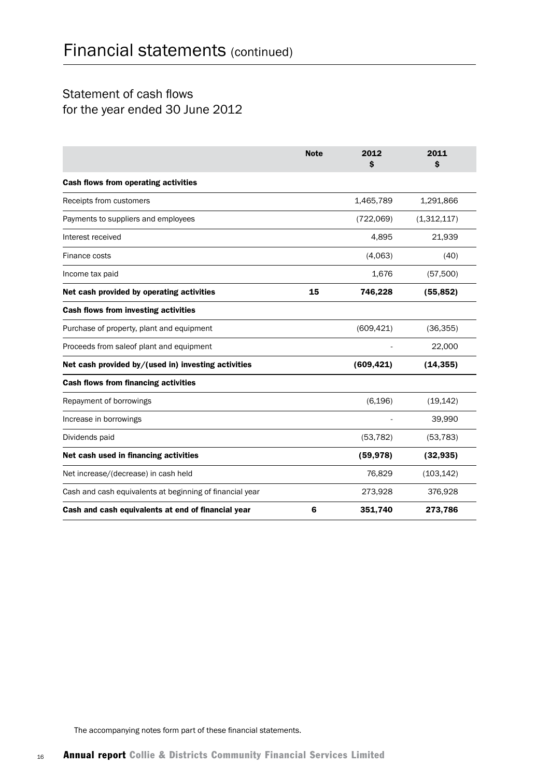# Statement of cash flows for the year ended 30 June 2012

|                                                          | <b>Note</b> | 2012<br>S  | 2011<br>Ś   |
|----------------------------------------------------------|-------------|------------|-------------|
| <b>Cash flows from operating activities</b>              |             |            |             |
| Receipts from customers                                  |             | 1,465,789  | 1,291,866   |
| Payments to suppliers and employees                      |             | (722,069)  | (1,312,117) |
| Interest received                                        |             | 4,895      | 21,939      |
| Finance costs                                            |             | (4,063)    | (40)        |
| Income tax paid                                          |             | 1,676      | (57, 500)   |
| Net cash provided by operating activities                | 15          | 746,228    | (55, 852)   |
| <b>Cash flows from investing activities</b>              |             |            |             |
| Purchase of property, plant and equipment                |             | (609, 421) | (36, 355)   |
| Proceeds from saleof plant and equipment                 |             |            | 22,000      |
| Net cash provided by/(used in) investing activities      |             | (609, 421) | (14, 355)   |
| <b>Cash flows from financing activities</b>              |             |            |             |
| Repayment of borrowings                                  |             | (6, 196)   | (19, 142)   |
| Increase in borrowings                                   |             |            | 39,990      |
| Dividends paid                                           |             | (53, 782)  | (53, 783)   |
| Net cash used in financing activities                    |             | (59, 978)  | (32, 935)   |
| Net increase/(decrease) in cash held                     |             | 76,829     | (103, 142)  |
| Cash and cash equivalents at beginning of financial year |             | 273,928    | 376,928     |
| Cash and cash equivalents at end of financial year       | 6           | 351,740    | 273,786     |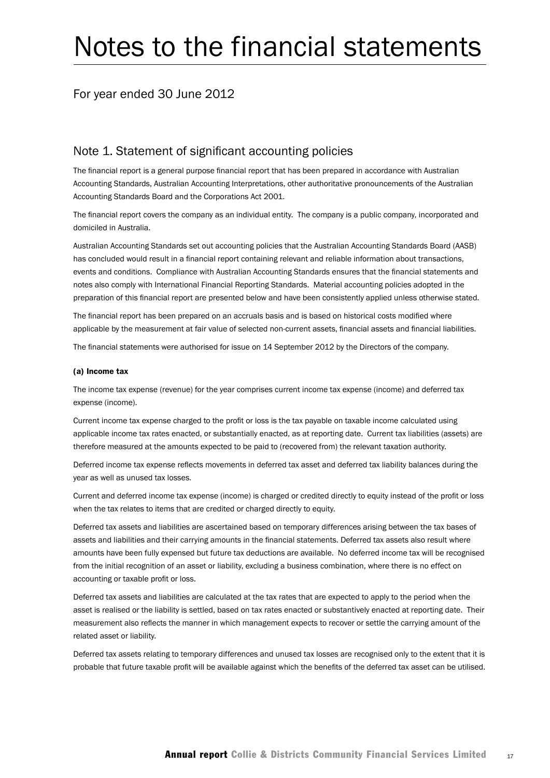# Notes to the financial statements

### For year ended 30 June 2012

### Note 1. Statement of significant accounting policies

The financial report is a general purpose financial report that has been prepared in accordance with Australian Accounting Standards, Australian Accounting Interpretations, other authoritative pronouncements of the Australian Accounting Standards Board and the Corporations Act 2001.

The financial report covers the company as an individual entity. The company is a public company, incorporated and domiciled in Australia.

Australian Accounting Standards set out accounting policies that the Australian Accounting Standards Board (AASB) has concluded would result in a financial report containing relevant and reliable information about transactions, events and conditions. Compliance with Australian Accounting Standards ensures that the financial statements and notes also comply with International Financial Reporting Standards. Material accounting policies adopted in the preparation of this financial report are presented below and have been consistently applied unless otherwise stated.

The financial report has been prepared on an accruals basis and is based on historical costs modified where applicable by the measurement at fair value of selected non-current assets, financial assets and financial liabilities.

The financial statements were authorised for issue on 14 September 2012 by the Directors of the company.

#### (a) Income tax

The income tax expense (revenue) for the year comprises current income tax expense (income) and deferred tax expense (income).

Current income tax expense charged to the profit or loss is the tax payable on taxable income calculated using applicable income tax rates enacted, or substantially enacted, as at reporting date. Current tax liabilities (assets) are therefore measured at the amounts expected to be paid to (recovered from) the relevant taxation authority.

Deferred income tax expense reflects movements in deferred tax asset and deferred tax liability balances during the year as well as unused tax losses.

Current and deferred income tax expense (income) is charged or credited directly to equity instead of the profit or loss when the tax relates to items that are credited or charged directly to equity.

Deferred tax assets and liabilities are ascertained based on temporary differences arising between the tax bases of assets and liabilities and their carrying amounts in the financial statements. Deferred tax assets also result where amounts have been fully expensed but future tax deductions are available. No deferred income tax will be recognised from the initial recognition of an asset or liability, excluding a business combination, where there is no effect on accounting or taxable profit or loss.

Deferred tax assets and liabilities are calculated at the tax rates that are expected to apply to the period when the asset is realised or the liability is settled, based on tax rates enacted or substantively enacted at reporting date. Their measurement also reflects the manner in which management expects to recover or settle the carrying amount of the related asset or liability.

Deferred tax assets relating to temporary differences and unused tax losses are recognised only to the extent that it is probable that future taxable profit will be available against which the benefits of the deferred tax asset can be utilised.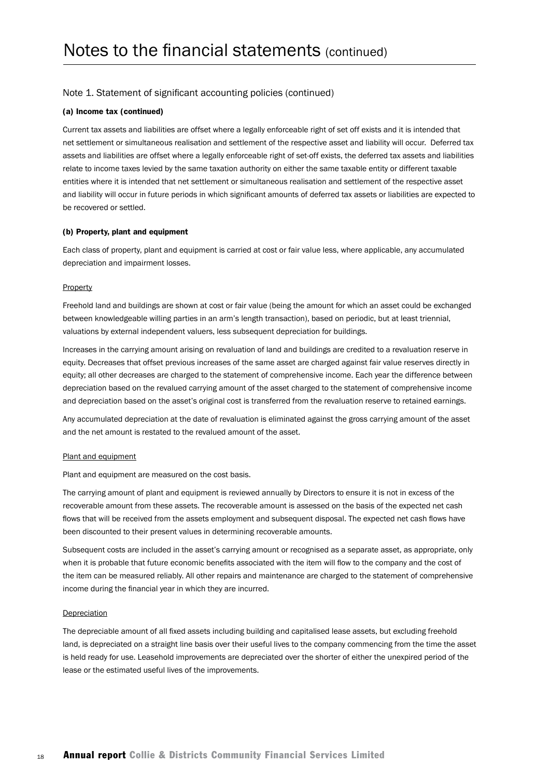#### (a) Income tax (continued)

Current tax assets and liabilities are offset where a legally enforceable right of set off exists and it is intended that net settlement or simultaneous realisation and settlement of the respective asset and liability will occur. Deferred tax assets and liabilities are offset where a legally enforceable right of set-off exists, the deferred tax assets and liabilities relate to income taxes levied by the same taxation authority on either the same taxable entity or different taxable entities where it is intended that net settlement or simultaneous realisation and settlement of the respective asset and liability will occur in future periods in which significant amounts of deferred tax assets or liabilities are expected to be recovered or settled.

#### (b) Property, plant and equipment

Each class of property, plant and equipment is carried at cost or fair value less, where applicable, any accumulated depreciation and impairment losses.

#### **Property**

Freehold land and buildings are shown at cost or fair value (being the amount for which an asset could be exchanged between knowledgeable willing parties in an arm's length transaction), based on periodic, but at least triennial, valuations by external independent valuers, less subsequent depreciation for buildings.

Increases in the carrying amount arising on revaluation of land and buildings are credited to a revaluation reserve in equity. Decreases that offset previous increases of the same asset are charged against fair value reserves directly in equity; all other decreases are charged to the statement of comprehensive income. Each year the difference between depreciation based on the revalued carrying amount of the asset charged to the statement of comprehensive income and depreciation based on the asset's original cost is transferred from the revaluation reserve to retained earnings.

Any accumulated depreciation at the date of revaluation is eliminated against the gross carrying amount of the asset and the net amount is restated to the revalued amount of the asset.

#### Plant and equipment

Plant and equipment are measured on the cost basis.

The carrying amount of plant and equipment is reviewed annually by Directors to ensure it is not in excess of the recoverable amount from these assets. The recoverable amount is assessed on the basis of the expected net cash flows that will be received from the assets employment and subsequent disposal. The expected net cash flows have been discounted to their present values in determining recoverable amounts.

Subsequent costs are included in the asset's carrying amount or recognised as a separate asset, as appropriate, only when it is probable that future economic benefits associated with the item will flow to the company and the cost of the item can be measured reliably. All other repairs and maintenance are charged to the statement of comprehensive income during the financial year in which they are incurred.

#### Depreciation

The depreciable amount of all fixed assets including building and capitalised lease assets, but excluding freehold land, is depreciated on a straight line basis over their useful lives to the company commencing from the time the asset is held ready for use. Leasehold improvements are depreciated over the shorter of either the unexpired period of the lease or the estimated useful lives of the improvements.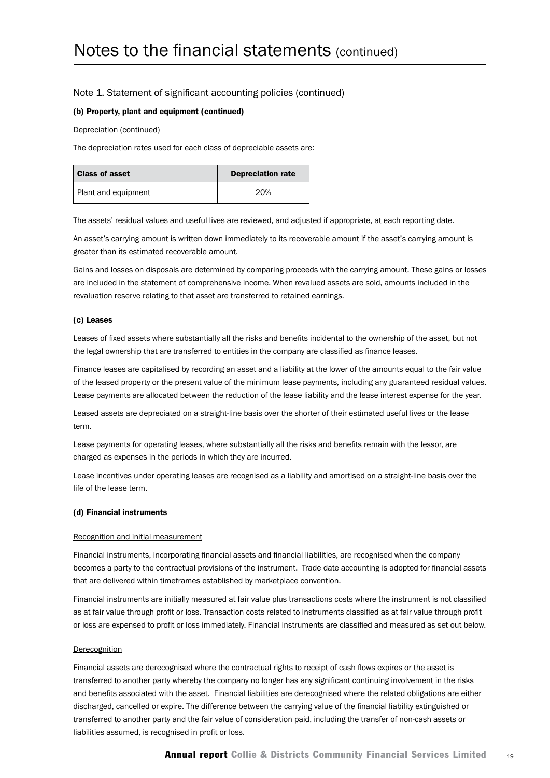#### (b) Property, plant and equipment (continued)

#### Depreciation (continued)

The depreciation rates used for each class of depreciable assets are:

| <b>Class of asset</b> | <b>Depreciation rate</b> |
|-----------------------|--------------------------|
| Plant and equipment   | 20%                      |

The assets' residual values and useful lives are reviewed, and adjusted if appropriate, at each reporting date.

An asset's carrying amount is written down immediately to its recoverable amount if the asset's carrying amount is greater than its estimated recoverable amount.

Gains and losses on disposals are determined by comparing proceeds with the carrying amount. These gains or losses are included in the statement of comprehensive income. When revalued assets are sold, amounts included in the revaluation reserve relating to that asset are transferred to retained earnings.

#### (c) Leases

Leases of fixed assets where substantially all the risks and benefits incidental to the ownership of the asset, but not the legal ownership that are transferred to entities in the company are classified as finance leases.

Finance leases are capitalised by recording an asset and a liability at the lower of the amounts equal to the fair value of the leased property or the present value of the minimum lease payments, including any guaranteed residual values. Lease payments are allocated between the reduction of the lease liability and the lease interest expense for the year.

Leased assets are depreciated on a straight-line basis over the shorter of their estimated useful lives or the lease term.

Lease payments for operating leases, where substantially all the risks and benefits remain with the lessor, are charged as expenses in the periods in which they are incurred.

Lease incentives under operating leases are recognised as a liability and amortised on a straight-line basis over the life of the lease term.

#### (d) Financial instruments

#### Recognition and initial measurement

Financial instruments, incorporating financial assets and financial liabilities, are recognised when the company becomes a party to the contractual provisions of the instrument. Trade date accounting is adopted for financial assets that are delivered within timeframes established by marketplace convention.

Financial instruments are initially measured at fair value plus transactions costs where the instrument is not classified as at fair value through profit or loss. Transaction costs related to instruments classified as at fair value through profit or loss are expensed to profit or loss immediately. Financial instruments are classified and measured as set out below.

#### **Derecognition**

Financial assets are derecognised where the contractual rights to receipt of cash flows expires or the asset is transferred to another party whereby the company no longer has any significant continuing involvement in the risks and benefits associated with the asset. Financial liabilities are derecognised where the related obligations are either discharged, cancelled or expire. The difference between the carrying value of the financial liability extinguished or transferred to another party and the fair value of consideration paid, including the transfer of non-cash assets or liabilities assumed, is recognised in profit or loss.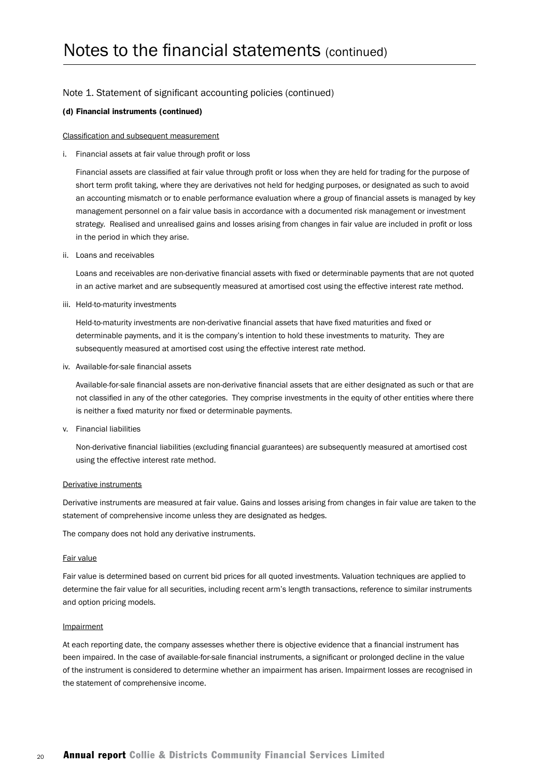#### (d) Financial instruments (continued)

Classification and subsequent measurement

i. Financial assets at fair value through profit or loss

Financial assets are classified at fair value through profit or loss when they are held for trading for the purpose of short term profit taking, where they are derivatives not held for hedging purposes, or designated as such to avoid an accounting mismatch or to enable performance evaluation where a group of financial assets is managed by key management personnel on a fair value basis in accordance with a documented risk management or investment strategy. Realised and unrealised gains and losses arising from changes in fair value are included in profit or loss in the period in which they arise.

ii. Loans and receivables

Loans and receivables are non-derivative financial assets with fixed or determinable payments that are not quoted in an active market and are subsequently measured at amortised cost using the effective interest rate method.

iii. Held-to-maturity investments

Held-to-maturity investments are non-derivative financial assets that have fixed maturities and fixed or determinable payments, and it is the company's intention to hold these investments to maturity. They are subsequently measured at amortised cost using the effective interest rate method.

iv. Available-for-sale financial assets

Available-for-sale financial assets are non-derivative financial assets that are either designated as such or that are not classified in any of the other categories. They comprise investments in the equity of other entities where there is neither a fixed maturity nor fixed or determinable payments.

v. Financial liabilities

Non-derivative financial liabilities (excluding financial guarantees) are subsequently measured at amortised cost using the effective interest rate method.

#### Derivative instruments

Derivative instruments are measured at fair value. Gains and losses arising from changes in fair value are taken to the statement of comprehensive income unless they are designated as hedges.

The company does not hold any derivative instruments.

#### Fair value

Fair value is determined based on current bid prices for all quoted investments. Valuation techniques are applied to determine the fair value for all securities, including recent arm's length transactions, reference to similar instruments and option pricing models.

#### **Impairment**

At each reporting date, the company assesses whether there is objective evidence that a financial instrument has been impaired. In the case of available-for-sale financial instruments, a significant or prolonged decline in the value of the instrument is considered to determine whether an impairment has arisen. Impairment losses are recognised in the statement of comprehensive income.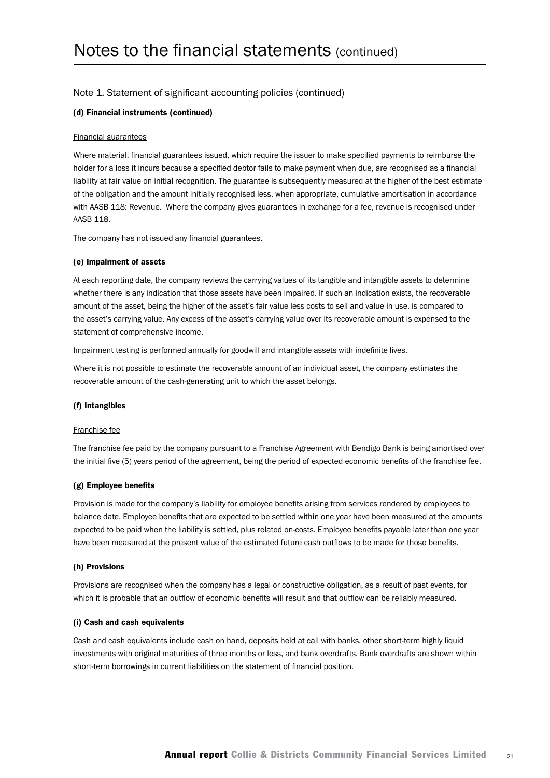#### (d) Financial instruments (continued)

#### Financial guarantees

Where material, financial guarantees issued, which require the issuer to make specified payments to reimburse the holder for a loss it incurs because a specified debtor fails to make payment when due, are recognised as a financial liability at fair value on initial recognition. The guarantee is subsequently measured at the higher of the best estimate of the obligation and the amount initially recognised less, when appropriate, cumulative amortisation in accordance with AASB 118: Revenue. Where the company gives guarantees in exchange for a fee, revenue is recognised under AASB 118.

The company has not issued any financial guarantees.

#### (e) Impairment of assets

At each reporting date, the company reviews the carrying values of its tangible and intangible assets to determine whether there is any indication that those assets have been impaired. If such an indication exists, the recoverable amount of the asset, being the higher of the asset's fair value less costs to sell and value in use, is compared to the asset's carrying value. Any excess of the asset's carrying value over its recoverable amount is expensed to the statement of comprehensive income.

Impairment testing is performed annually for goodwill and intangible assets with indefinite lives.

Where it is not possible to estimate the recoverable amount of an individual asset, the company estimates the recoverable amount of the cash-generating unit to which the asset belongs.

#### (f) Intangibles

#### Franchise fee

The franchise fee paid by the company pursuant to a Franchise Agreement with Bendigo Bank is being amortised over the initial five (5) years period of the agreement, being the period of expected economic benefits of the franchise fee.

#### (g) Employee benefits

Provision is made for the company's liability for employee benefits arising from services rendered by employees to balance date. Employee benefits that are expected to be settled within one year have been measured at the amounts expected to be paid when the liability is settled, plus related on-costs. Employee benefits payable later than one year have been measured at the present value of the estimated future cash outflows to be made for those benefits.

#### (h) Provisions

Provisions are recognised when the company has a legal or constructive obligation, as a result of past events, for which it is probable that an outflow of economic benefits will result and that outflow can be reliably measured.

#### (i) Cash and cash equivalents

Cash and cash equivalents include cash on hand, deposits held at call with banks, other short-term highly liquid investments with original maturities of three months or less, and bank overdrafts. Bank overdrafts are shown within short-term borrowings in current liabilities on the statement of financial position.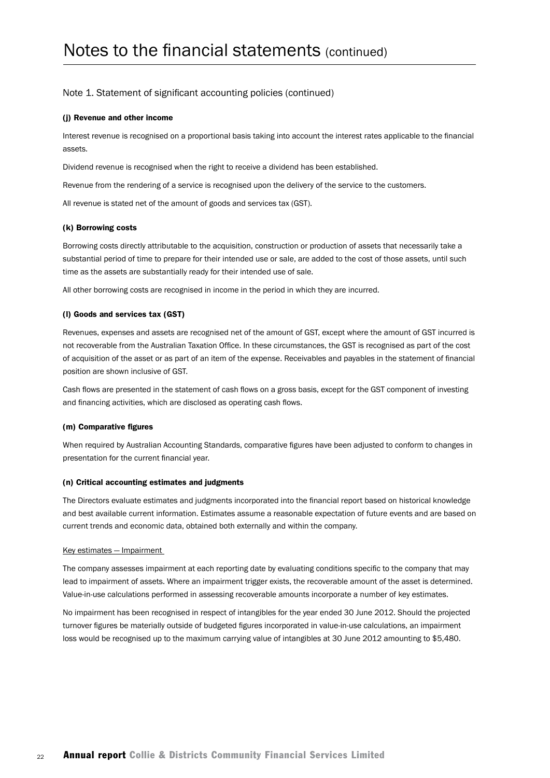#### (j) Revenue and other income

Interest revenue is recognised on a proportional basis taking into account the interest rates applicable to the financial assets.

Dividend revenue is recognised when the right to receive a dividend has been established.

Revenue from the rendering of a service is recognised upon the delivery of the service to the customers.

All revenue is stated net of the amount of goods and services tax (GST).

#### (k) Borrowing costs

Borrowing costs directly attributable to the acquisition, construction or production of assets that necessarily take a substantial period of time to prepare for their intended use or sale, are added to the cost of those assets, until such time as the assets are substantially ready for their intended use of sale.

All other borrowing costs are recognised in income in the period in which they are incurred.

#### (l) Goods and services tax (GST)

Revenues, expenses and assets are recognised net of the amount of GST, except where the amount of GST incurred is not recoverable from the Australian Taxation Office. In these circumstances, the GST is recognised as part of the cost of acquisition of the asset or as part of an item of the expense. Receivables and payables in the statement of financial position are shown inclusive of GST.

Cash flows are presented in the statement of cash flows on a gross basis, except for the GST component of investing and financing activities, which are disclosed as operating cash flows.

#### (m) Comparative figures

When required by Australian Accounting Standards, comparative figures have been adjusted to conform to changes in presentation for the current financial year.

#### (n) Critical accounting estimates and judgments

The Directors evaluate estimates and judgments incorporated into the financial report based on historical knowledge and best available current information. Estimates assume a reasonable expectation of future events and are based on current trends and economic data, obtained both externally and within the company.

#### Key estimates — Impairment

The company assesses impairment at each reporting date by evaluating conditions specific to the company that may lead to impairment of assets. Where an impairment trigger exists, the recoverable amount of the asset is determined. Value-in-use calculations performed in assessing recoverable amounts incorporate a number of key estimates.

No impairment has been recognised in respect of intangibles for the year ended 30 June 2012. Should the projected turnover figures be materially outside of budgeted figures incorporated in value-in-use calculations, an impairment loss would be recognised up to the maximum carrying value of intangibles at 30 June 2012 amounting to \$5,480.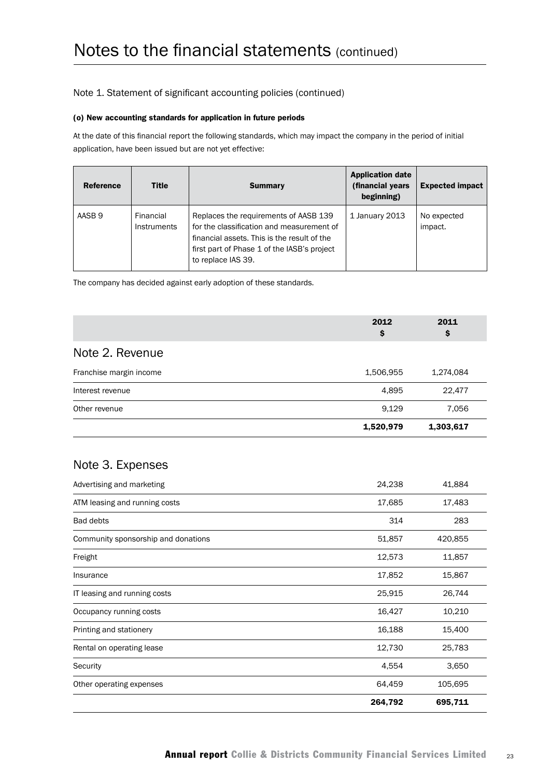#### (o) New accounting standards for application in future periods

At the date of this financial report the following standards, which may impact the company in the period of initial application, have been issued but are not yet effective:

| Reference         | Title                    | <b>Summary</b>                                                                                                                                                                                         | <b>Application date</b><br>(financial years<br>beginning) | <b>Expected impact</b> |
|-------------------|--------------------------|--------------------------------------------------------------------------------------------------------------------------------------------------------------------------------------------------------|-----------------------------------------------------------|------------------------|
| AASB <sub>9</sub> | Financial<br>Instruments | Replaces the requirements of AASB 139<br>for the classification and measurement of<br>financial assets. This is the result of the<br>first part of Phase 1 of the IASB's project<br>to replace IAS 39. | 1 January 2013                                            | No expected<br>impact. |

The company has decided against early adoption of these standards.

|                                     | 2012<br>\$ | 2011<br>\$ |
|-------------------------------------|------------|------------|
| Note 2. Revenue                     |            |            |
| Franchise margin income             | 1,506,955  | 1,274,084  |
| Interest revenue                    | 4,895      | 22,477     |
| Other revenue                       | 9,129      | 7,056      |
|                                     | 1,520,979  | 1,303,617  |
| Note 3. Expenses                    |            |            |
| Advertising and marketing           | 24,238     | 41,884     |
| ATM leasing and running costs       | 17,685     | 17,483     |
| Bad debts                           | 314        | 283        |
| Community snonsorshin and donations | 51 857     | 420.855    |

| 264,792 | 695,711 |
|---------|---------|
| 64,459  | 105,695 |
| 4,554   | 3,650   |
| 12,730  | 25,783  |
| 16,188  | 15,400  |
| 16,427  | 10,210  |
| 25,915  | 26,744  |
| 17,852  | 15,867  |
| 12,573  | 11,857  |
| 51,857  | 420,855 |
|         |         |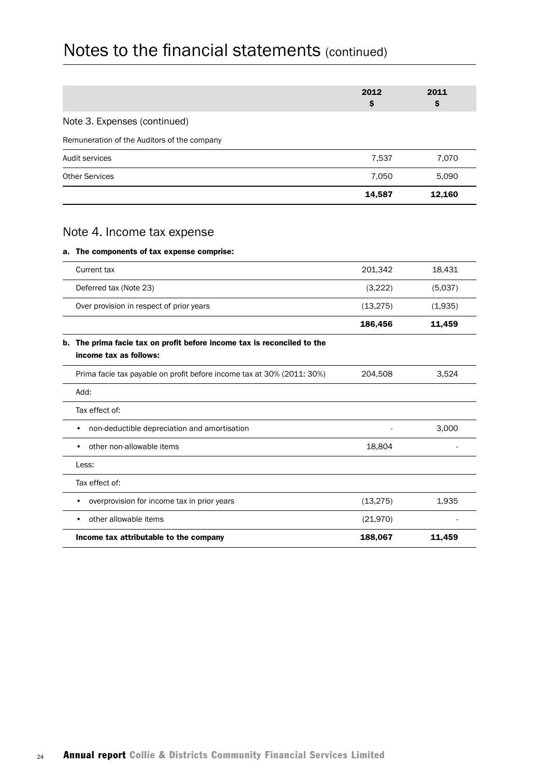|                                                                                                   | 2012      | 2011<br>Ś |
|---------------------------------------------------------------------------------------------------|-----------|-----------|
| Note 3. Expenses (continued)                                                                      | \$        |           |
|                                                                                                   |           |           |
| Remuneration of the Auditors of the company                                                       |           |           |
| Audit services                                                                                    | 7,537     | 7,070     |
| <b>Other Services</b>                                                                             | 7,050     | 5,090     |
|                                                                                                   | 14,587    | 12,160    |
| Note 4. Income tax expense<br>a. The components of tax expense comprise:                          |           |           |
| Current tax                                                                                       | 201,342   | 18,431    |
| Deferred tax (Note 23)                                                                            | (3,222)   | (5,037)   |
| Over provision in respect of prior years                                                          | (13, 275) | (1,935)   |
|                                                                                                   | 186,456   | 11,459    |
| b. The prima facie tax on profit before income tax is reconciled to the<br>income tax as follows: |           |           |
| Prima facie tax payable on profit before income tax at 30% (2011: 30%)                            | 204,508   | 3,524     |
| Add:                                                                                              |           |           |
| Tax effect of:                                                                                    |           |           |
| non-deductible depreciation and amortisation<br>٠                                                 |           | 3,000     |
| other non-allowable items<br>٠                                                                    | 18,804    |           |
| Less:                                                                                             |           |           |
| Tax effect of:                                                                                    |           |           |
| overprovision for income tax in prior years<br>$\bullet$                                          | (13, 275) | 1,935     |
| other allowable items<br>٠                                                                        | (21,970)  |           |
| Income tax attributable to the company                                                            | 188,067   | 11,459    |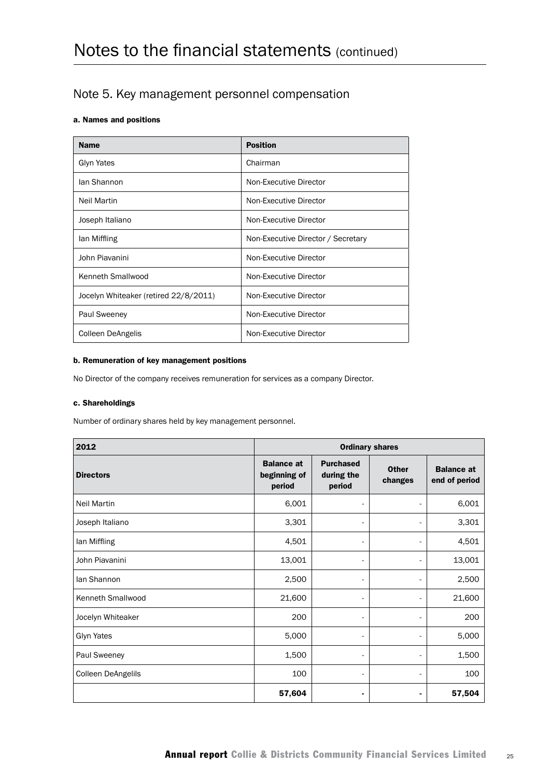## Note 5. Key management personnel compensation

#### a. Names and positions

| <b>Name</b>                           | <b>Position</b>                    |
|---------------------------------------|------------------------------------|
| Glyn Yates                            | Chairman                           |
| lan Shannon                           | Non-Executive Director             |
| Neil Martin                           | Non-Executive Director             |
| Joseph Italiano                       | Non-Executive Director             |
| lan Miffling                          | Non-Executive Director / Secretary |
| John Piavanini                        | Non-Executive Director             |
| Kenneth Smallwood                     | Non-Executive Director             |
| Jocelyn Whiteaker (retired 22/8/2011) | Non-Executive Director             |
| <b>Paul Sweeney</b>                   | Non-Executive Director             |
| Colleen DeAngelis                     | Non-Executive Director             |

#### b. Remuneration of key management positions

No Director of the company receives remuneration for services as a company Director.

#### c. Shareholdings

Number of ordinary shares held by key management personnel.

| 2012               | <b>Ordinary shares</b>                      |                                          |                         |                                    |
|--------------------|---------------------------------------------|------------------------------------------|-------------------------|------------------------------------|
| <b>Directors</b>   | <b>Balance at</b><br>beginning of<br>period | <b>Purchased</b><br>during the<br>period | <b>Other</b><br>changes | <b>Balance at</b><br>end of period |
| <b>Neil Martin</b> | 6,001                                       | ۰                                        |                         | 6,001                              |
| Joseph Italiano    | 3,301                                       | ۰                                        |                         | 3,301                              |
| lan Miffling       | 4,501                                       | $\overline{\phantom{m}}$                 |                         | 4,501                              |
| John Piavanini     | 13,001                                      | ۰                                        |                         | 13,001                             |
| lan Shannon        | 2,500                                       | ٠                                        |                         | 2,500                              |
| Kenneth Smallwood  | 21,600                                      | ٠                                        |                         | 21,600                             |
| Jocelyn Whiteaker  | 200                                         | ٠                                        |                         | 200                                |
| <b>Glyn Yates</b>  | 5,000                                       | $\overline{\phantom{0}}$                 |                         | 5,000                              |
| Paul Sweeney       | 1,500                                       | ٠                                        |                         | 1,500                              |
| Colleen DeAngelils | 100                                         | $\overline{\phantom{m}}$                 |                         | 100                                |
|                    | 57,604                                      | -                                        |                         | 57,504                             |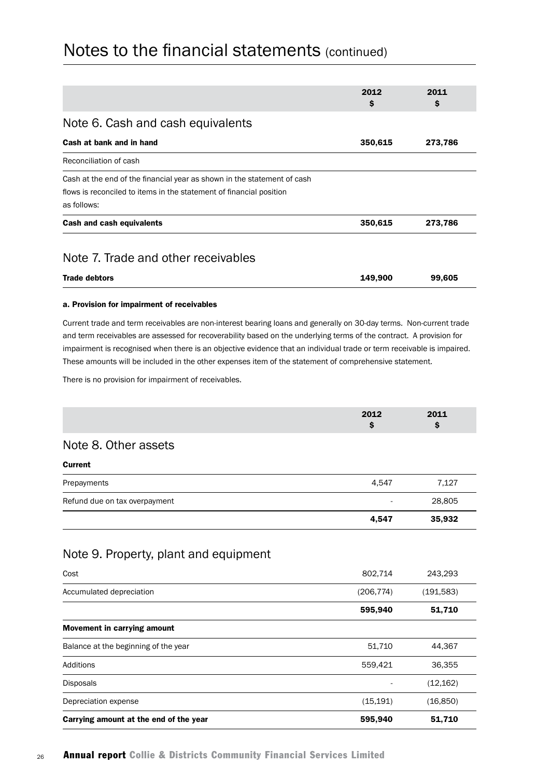|                                                                         | 2012<br>\$ | 2011<br>\$ |
|-------------------------------------------------------------------------|------------|------------|
| Note 6. Cash and cash equivalents                                       |            |            |
| Cash at bank and in hand                                                | 350,615    | 273,786    |
| Reconciliation of cash                                                  |            |            |
| Cash at the end of the financial year as shown in the statement of cash |            |            |
| flows is reconciled to items in the statement of financial position     |            |            |
| as follows:                                                             |            |            |
| Cash and cash equivalents                                               | 350,615    | 273,786    |
| Note 7. Trade and other receivables                                     |            |            |
| <b>Trade debtors</b>                                                    | 149,900    | 99,605     |

#### a. Provision for impairment of receivables

Current trade and term receivables are non-interest bearing loans and generally on 30-day terms. Non-current trade and term receivables are assessed for recoverability based on the underlying terms of the contract. A provision for impairment is recognised when there is an objective evidence that an individual trade or term receivable is impaired. These amounts will be included in the other expenses item of the statement of comprehensive statement.

There is no provision for impairment of receivables.

|                                                                           | 2012<br>\$            | 2011<br>\$            |
|---------------------------------------------------------------------------|-----------------------|-----------------------|
| Note 8. Other assets                                                      |                       |                       |
| <b>Current</b>                                                            |                       |                       |
| Prepayments                                                               | 4,547                 | 7,127                 |
| Refund due on tax overpayment                                             |                       | 28,805                |
|                                                                           | 4,547                 | 35,932                |
| Note 9. Property, plant and equipment<br>Cost<br>Accumulated depreciation | 802,714<br>(206, 774) | 243,293<br>(191, 583) |
|                                                                           | 595,940               | 51,710                |
| Movement in carrying amount                                               |                       |                       |
| Balance at the beginning of the year                                      | 51,710                | 44,367                |
| <b>Additions</b>                                                          | 559,421               | 36,355                |
| <b>Disposals</b>                                                          |                       | (12, 162)             |

Depreciation expense (15,191) (16,850) Carrying amount at the end of the year 595,940 51,710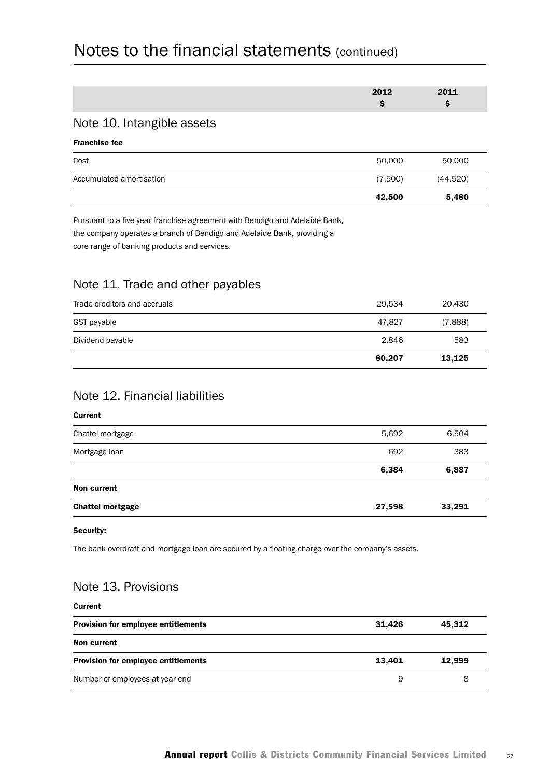| 2012 | 2011 |
|------|------|
|      | œ    |

## Note 10. Intangible assets

#### Franchise fee

|                          | 42.500  | 5,480    |
|--------------------------|---------|----------|
| Accumulated amortisation | (7,500) | (44,520) |
| Cost                     | 50,000  | 50,000   |

Pursuant to a five year franchise agreement with Bendigo and Adelaide Bank, the company operates a branch of Bendigo and Adelaide Bank, providing a core range of banking products and services.

# Note 11. Trade and other payables

|                              | 80.207 | 13,125  |
|------------------------------|--------|---------|
| Dividend payable             | 2,846  | 583     |
| GST payable                  | 47.827 | (7,888) |
| Trade creditors and accruals | 29.534 | 20,430  |

## Note 12. Financial liabilities

| 5,692  | 6,504  |
|--------|--------|
| 692    | 383    |
| 6,384  | 6,887  |
|        |        |
| 27,598 | 33,291 |
|        |        |

Security:

The bank overdraft and mortgage loan are secured by a floating charge over the company's assets.

## Note 13. Provisions

#### Current

| <b>Provision for employee entitlements</b> | 31.426 | 45.312 |
|--------------------------------------------|--------|--------|
| Non current                                |        |        |
| <b>Provision for employee entitlements</b> | 13.401 | 12.999 |
| Number of employees at year end            | 9      |        |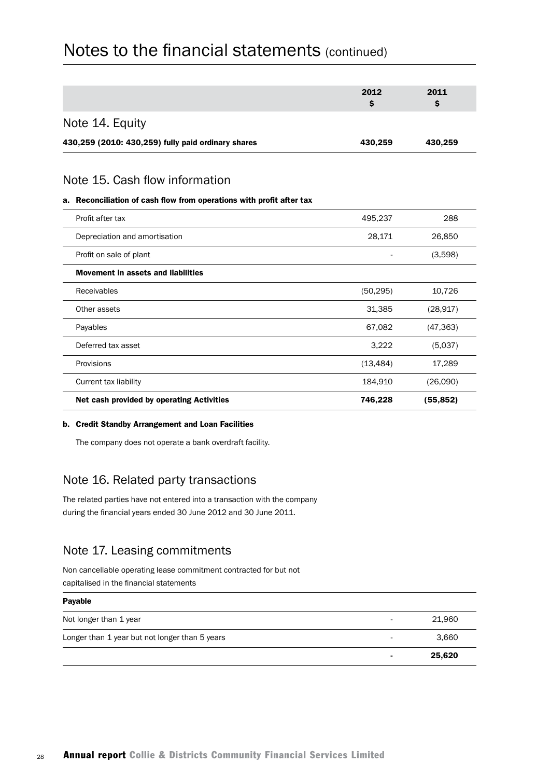|                                                                      | 2012<br>Ŝ | 2011<br>\$. |
|----------------------------------------------------------------------|-----------|-------------|
| Note 14. Equity                                                      |           |             |
| 430,259 (2010: 430,259) fully paid ordinary shares                   | 430,259   | 430,259     |
| Note 15. Cash flow information                                       |           |             |
| a. Reconciliation of cash flow from operations with profit after tax |           |             |
| Profit after tax                                                     | 495,237   | 288         |
| Depreciation and amortisation                                        | 28,171    | 26,850      |
| Profit on sale of plant                                              |           | (3,598)     |
| Movement in assets and liabilities                                   |           |             |
| Receivables                                                          | (50, 295) | 10,726      |
| Other assets                                                         | 31,385    | (28, 917)   |
| Payables                                                             | 67,082    | (47, 363)   |
| Deferred tax asset                                                   | 3,222     | (5,037)     |
| Provisions                                                           | (13, 484) | 17,289      |
| Current tax liability                                                | 184,910   | (26,090)    |
| Net cash provided by operating Activities                            | 746,228   | (55, 852)   |

#### b. Credit Standby Arrangement and Loan Facilities

The company does not operate a bank overdraft facility.

### Note 16. Related party transactions

The related parties have not entered into a transaction with the company during the financial years ended 30 June 2012 and 30 June 2011.

### Note 17. Leasing commitments

Non cancellable operating lease commitment contracted for but not capitalised in the financial statements

# Payable Not longer than 1 year - 21,960

|                                                |        | 25,620 |
|------------------------------------------------|--------|--------|
| Longer than 1 year but not longer than 5 years | $\sim$ | 3.660  |
|                                                |        | .      |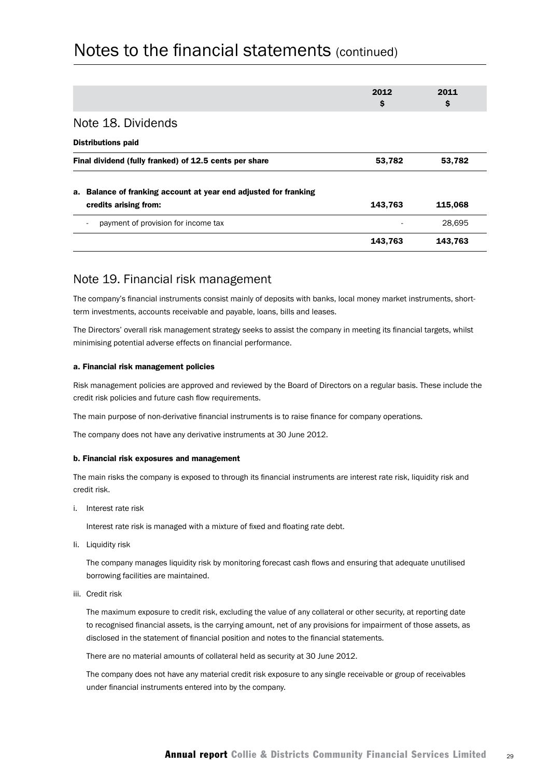|                                                                     | 2012<br>\$ | 2011<br>\$ |
|---------------------------------------------------------------------|------------|------------|
| Note 18. Dividends                                                  |            |            |
| <b>Distributions paid</b>                                           |            |            |
| Final dividend (fully franked) of 12.5 cents per share              | 53,782     | 53,782     |
| Balance of franking account at year end adjusted for franking<br>а. |            |            |
| credits arising from:                                               | 143,763    | 115,068    |
| payment of provision for income tax                                 |            | 28,695     |
|                                                                     | 143,763    | 143,763    |

### Note 19. Financial risk management

The company's financial instruments consist mainly of deposits with banks, local money market instruments, shortterm investments, accounts receivable and payable, loans, bills and leases.

The Directors' overall risk management strategy seeks to assist the company in meeting its financial targets, whilst minimising potential adverse effects on financial performance.

#### a. Financial risk management policies

Risk management policies are approved and reviewed by the Board of Directors on a regular basis. These include the credit risk policies and future cash flow requirements.

The main purpose of non-derivative financial instruments is to raise finance for company operations.

The company does not have any derivative instruments at 30 June 2012.

#### b. Financial risk exposures and management

The main risks the company is exposed to through its financial instruments are interest rate risk, liquidity risk and credit risk.

i. Interest rate risk

Interest rate risk is managed with a mixture of fixed and floating rate debt.

Ii. Liquidity risk

The company manages liquidity risk by monitoring forecast cash flows and ensuring that adequate unutilised borrowing facilities are maintained.

iii. Credit risk

The maximum exposure to credit risk, excluding the value of any collateral or other security, at reporting date to recognised financial assets, is the carrying amount, net of any provisions for impairment of those assets, as disclosed in the statement of financial position and notes to the financial statements.

There are no material amounts of collateral held as security at 30 June 2012.

The company does not have any material credit risk exposure to any single receivable or group of receivables under financial instruments entered into by the company.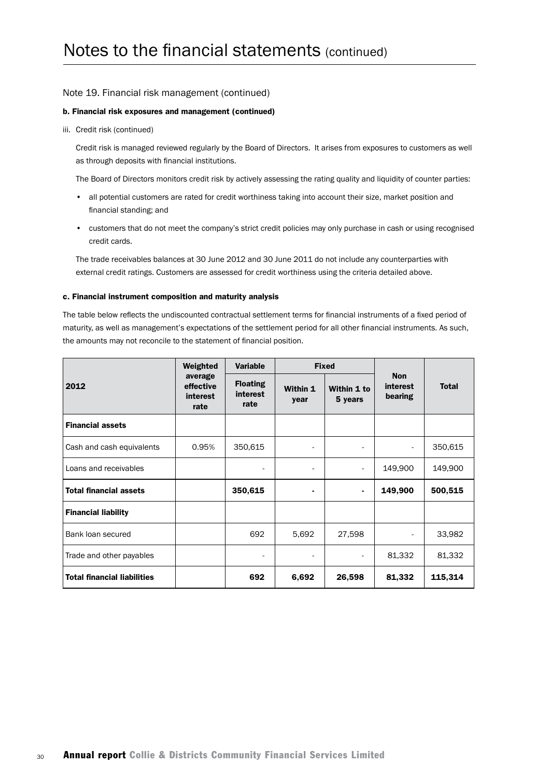#### Note 19. Financial risk management (continued)

#### b. Financial risk exposures and management (continued)

iii. Credit risk (continued)

Credit risk is managed reviewed regularly by the Board of Directors. It arises from exposures to customers as well as through deposits with financial institutions.

The Board of Directors monitors credit risk by actively assessing the rating quality and liquidity of counter parties:

- all potential customers are rated for credit worthiness taking into account their size, market position and financial standing; and
- customers that do not meet the company's strict credit policies may only purchase in cash or using recognised credit cards.

The trade receivables balances at 30 June 2012 and 30 June 2011 do not include any counterparties with external credit ratings. Customers are assessed for credit worthiness using the criteria detailed above.

#### c. Financial instrument composition and maturity analysis

The table below reflects the undiscounted contractual settlement terms for financial instruments of a fixed period of maturity, as well as management's expectations of the settlement period for all other financial instruments. As such, the amounts may not reconcile to the statement of financial position.

|                                    | Weighted                                 | <b>Variable</b>                     | <b>Fixed</b>     |                        |                                   |              |
|------------------------------------|------------------------------------------|-------------------------------------|------------------|------------------------|-----------------------------------|--------------|
| 2012                               | average<br>effective<br>interest<br>rate | <b>Floating</b><br>interest<br>rate | Within 1<br>year | Within 1 to<br>5 years | <b>Non</b><br>interest<br>bearing | <b>Total</b> |
| <b>Financial assets</b>            |                                          |                                     |                  |                        |                                   |              |
| Cash and cash equivalents          | 0.95%                                    | 350,615                             | ۰                |                        | ٠                                 | 350,615      |
| Loans and receivables              |                                          |                                     |                  |                        | 149,900                           | 149,900      |
| <b>Total financial assets</b>      |                                          | 350,615                             | $\blacksquare$   | $\blacksquare$         | 149,900                           | 500,515      |
| <b>Financial liability</b>         |                                          |                                     |                  |                        |                                   |              |
| Bank loan secured                  |                                          | 692                                 | 5,692            | 27,598                 | ٠                                 | 33,982       |
| Trade and other payables           |                                          |                                     | ٠                |                        | 81,332                            | 81,332       |
| <b>Total financial liabilities</b> |                                          | 692                                 | 6,692            | 26,598                 | 81,332                            | 115,314      |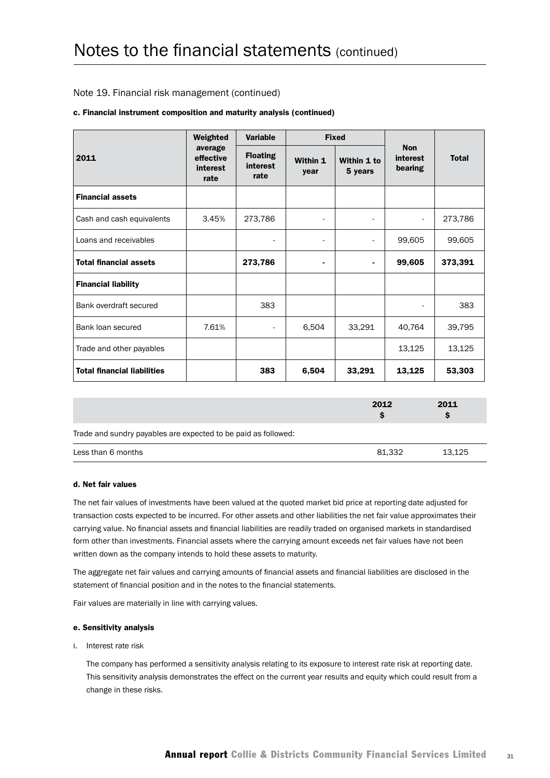#### Note 19. Financial risk management (continued)

#### c. Financial instrument composition and maturity analysis (continued)

|                                    | Weighted                                 | <b>Variable</b>                     | <b>Fixed</b>     |                        |                                   |              |
|------------------------------------|------------------------------------------|-------------------------------------|------------------|------------------------|-----------------------------------|--------------|
| 2011                               | average<br>effective<br>interest<br>rate | <b>Floating</b><br>interest<br>rate | Within 1<br>year | Within 1 to<br>5 years | <b>Non</b><br>interest<br>bearing | <b>Total</b> |
| <b>Financial assets</b>            |                                          |                                     |                  |                        |                                   |              |
| Cash and cash equivalents          | 3.45%                                    | 273,786                             | ۰                | ۰                      | ٠                                 | 273,786      |
| Loans and receivables              |                                          |                                     | ٠                | ٠                      | 99,605                            | 99,605       |
| <b>Total financial assets</b>      |                                          | 273,786                             | ۰                |                        | 99,605                            | 373,391      |
| <b>Financial liability</b>         |                                          |                                     |                  |                        |                                   |              |
| Bank overdraft secured             |                                          | 383                                 |                  |                        |                                   | 383          |
| Bank loan secured                  | 7.61%                                    |                                     | 6,504            | 33,291                 | 40,764                            | 39,795       |
| Trade and other payables           |                                          |                                     |                  |                        | 13,125                            | 13,125       |
| <b>Total financial liabilities</b> |                                          | 383                                 | 6,504            | 33,291                 | 13,125                            | 53,303       |

|                                                                | 2012<br>s | 2011<br>S |
|----------------------------------------------------------------|-----------|-----------|
| Trade and sundry payables are expected to be paid as followed: |           |           |
| Less than 6 months                                             | 81.332    | 13.125    |

#### d. Net fair values

The net fair values of investments have been valued at the quoted market bid price at reporting date adjusted for transaction costs expected to be incurred. For other assets and other liabilities the net fair value approximates their carrying value. No financial assets and financial liabilities are readily traded on organised markets in standardised form other than investments. Financial assets where the carrying amount exceeds net fair values have not been written down as the company intends to hold these assets to maturity.

The aggregate net fair values and carrying amounts of financial assets and financial liabilities are disclosed in the statement of financial position and in the notes to the financial statements.

Fair values are materially in line with carrying values.

#### e. Sensitivity analysis

i. Interest rate risk

The company has performed a sensitivity analysis relating to its exposure to interest rate risk at reporting date. This sensitivity analysis demonstrates the effect on the current year results and equity which could result from a change in these risks.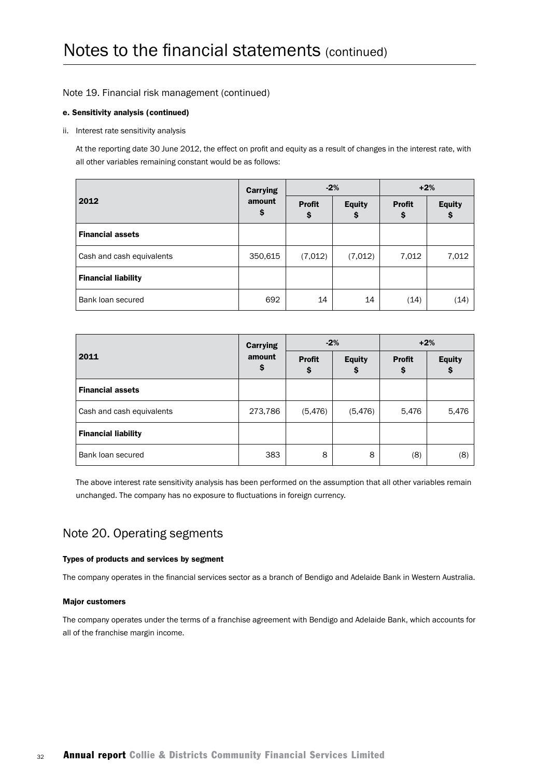#### Note 19. Financial risk management (continued)

#### e. Sensitivity analysis (continued)

ii. Interest rate sensitivity analysis

At the reporting date 30 June 2012, the effect on profit and equity as a result of changes in the interest rate, with all other variables remaining constant would be as follows:

|                            | Carrying | $-2%$               |                     | $+2%$               |                     |
|----------------------------|----------|---------------------|---------------------|---------------------|---------------------|
| 2012<br>amount<br>\$       |          | <b>Profit</b><br>\$ | <b>Equity</b><br>\$ | <b>Profit</b><br>\$ | <b>Equity</b><br>\$ |
| <b>Financial assets</b>    |          |                     |                     |                     |                     |
| Cash and cash equivalents  | 350,615  | (7,012)             | (7,012)             | 7,012               | 7,012               |
| <b>Financial liability</b> |          |                     |                     |                     |                     |
| Bank loan secured          | 692      | 14                  | 14                  | (14)                | (14)                |

|                            | <b>Carrying</b> | $-2%$               |                     | $+2%$               |                     |
|----------------------------|-----------------|---------------------|---------------------|---------------------|---------------------|
| 2011                       | amount<br>\$    | <b>Profit</b><br>\$ | <b>Equity</b><br>\$ | <b>Profit</b><br>\$ | <b>Equity</b><br>\$ |
| <b>Financial assets</b>    |                 |                     |                     |                     |                     |
| Cash and cash equivalents  | 273,786         | (5, 476)            | (5, 476)            | 5,476               | 5,476               |
| <b>Financial liability</b> |                 |                     |                     |                     |                     |
| Bank loan secured          | 383             | 8                   | 8                   | (8)                 | (8)                 |

The above interest rate sensitivity analysis has been performed on the assumption that all other variables remain unchanged. The company has no exposure to fluctuations in foreign currency.

# Note 20. Operating segments

#### Types of products and services by segment

The company operates in the financial services sector as a branch of Bendigo and Adelaide Bank in Western Australia.

#### Major customers

The company operates under the terms of a franchise agreement with Bendigo and Adelaide Bank, which accounts for all of the franchise margin income.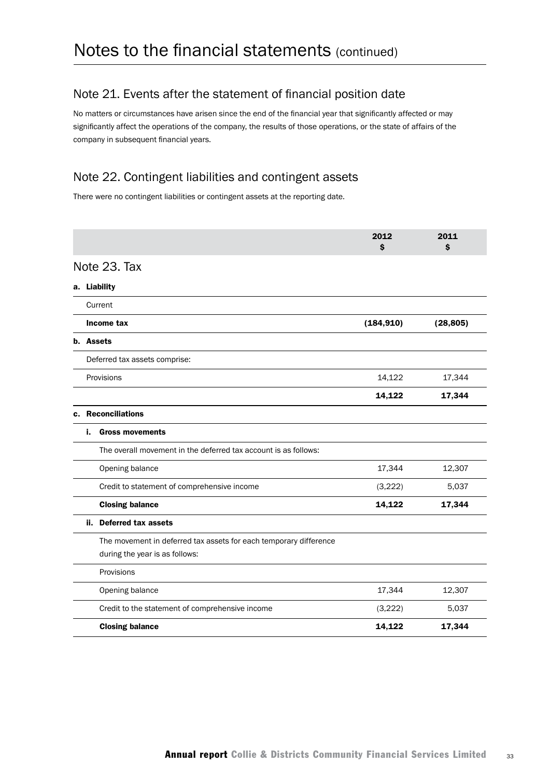# Note 21. Events after the statement of financial position date

No matters or circumstances have arisen since the end of the financial year that significantly affected or may significantly affect the operations of the company, the results of those operations, or the state of affairs of the company in subsequent financial years.

# Note 22. Contingent liabilities and contingent assets

There were no contingent liabilities or contingent assets at the reporting date.

|    |                                                                                                     | 2012<br>Ś  | 2011<br>\$. |
|----|-----------------------------------------------------------------------------------------------------|------------|-------------|
|    | Note 23. Tax                                                                                        |            |             |
|    | a. Liability                                                                                        |            |             |
|    | Current                                                                                             |            |             |
|    | Income tax                                                                                          | (184, 910) | (28, 805)   |
|    | b. Assets                                                                                           |            |             |
|    | Deferred tax assets comprise:                                                                       |            |             |
|    | Provisions                                                                                          | 14,122     | 17,344      |
|    |                                                                                                     | 14,122     | 17,344      |
|    | c. Reconciliations                                                                                  |            |             |
| i. | <b>Gross movements</b>                                                                              |            |             |
|    | The overall movement in the deferred tax account is as follows:                                     |            |             |
|    | Opening balance                                                                                     | 17,344     | 12,307      |
|    | Credit to statement of comprehensive income                                                         | (3,222)    | 5,037       |
|    | <b>Closing balance</b>                                                                              | 14,122     | 17,344      |
|    | ii. Deferred tax assets                                                                             |            |             |
|    | The movement in deferred tax assets for each temporary difference<br>during the year is as follows: |            |             |
|    | Provisions                                                                                          |            |             |
|    | Opening balance                                                                                     | 17,344     | 12,307      |
|    | Credit to the statement of comprehensive income                                                     | (3,222)    | 5,037       |
|    | <b>Closing balance</b>                                                                              | 14,122     | 17,344      |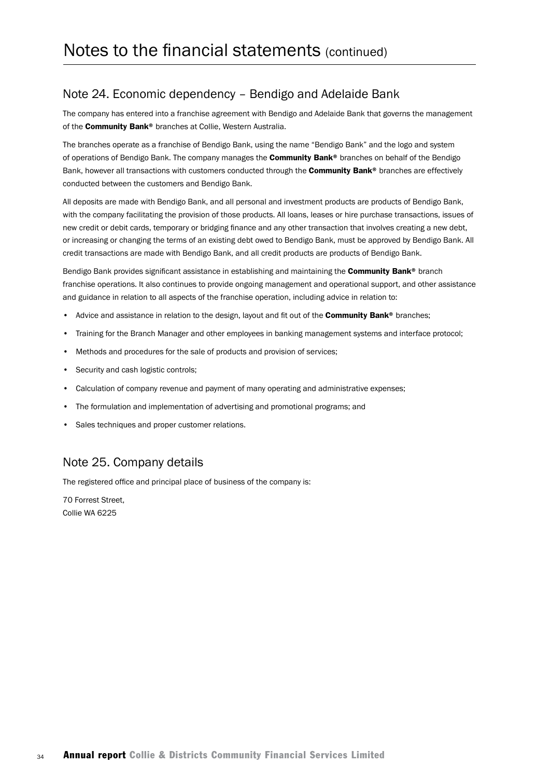### Note 24. Economic dependency – Bendigo and Adelaide Bank

The company has entered into a franchise agreement with Bendigo and Adelaide Bank that governs the management of the **Community Bank®** branches at Collie, Western Australia.

The branches operate as a franchise of Bendigo Bank, using the name "Bendigo Bank" and the logo and system of operations of Bendigo Bank. The company manages the **Community Bank®** branches on behalf of the Bendigo Bank, however all transactions with customers conducted through the **Community Bank®** branches are effectively conducted between the customers and Bendigo Bank.

All deposits are made with Bendigo Bank, and all personal and investment products are products of Bendigo Bank, with the company facilitating the provision of those products. All loans, leases or hire purchase transactions, issues of new credit or debit cards, temporary or bridging finance and any other transaction that involves creating a new debt, or increasing or changing the terms of an existing debt owed to Bendigo Bank, must be approved by Bendigo Bank. All credit transactions are made with Bendigo Bank, and all credit products are products of Bendigo Bank.

Bendigo Bank provides significant assistance in establishing and maintaining the Community Bank® branch franchise operations. It also continues to provide ongoing management and operational support, and other assistance and guidance in relation to all aspects of the franchise operation, including advice in relation to:

- Advice and assistance in relation to the design, layout and fit out of the Community Bank® branches;
- Training for the Branch Manager and other employees in banking management systems and interface protocol;
- Methods and procedures for the sale of products and provision of services;
- Security and cash logistic controls;
- Calculation of company revenue and payment of many operating and administrative expenses;
- The formulation and implementation of advertising and promotional programs; and
- Sales techniques and proper customer relations.

## Note 25. Company details

The registered office and principal place of business of the company is:

70 Forrest Street, Collie WA 6225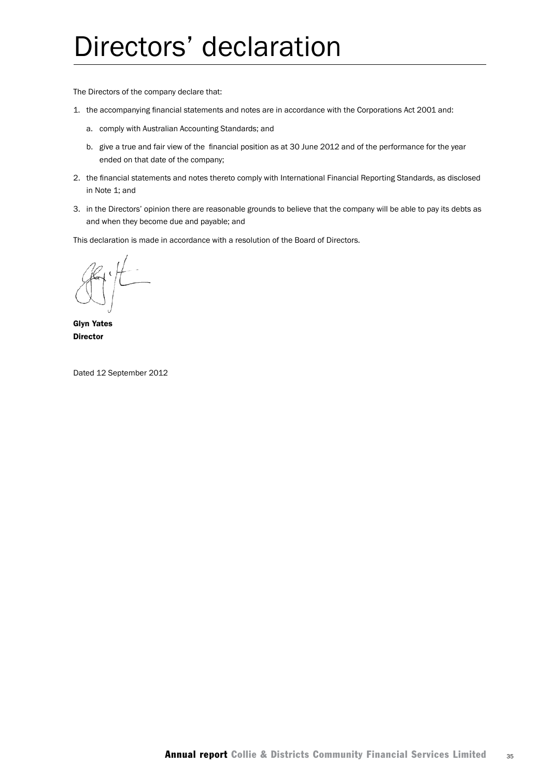# Directors' declaration

The Directors of the company declare that:

- 1. the accompanying financial statements and notes are in accordance with the Corporations Act 2001 and:
	- a. comply with Australian Accounting Standards; and
	- b. give a true and fair view of the financial position as at 30 June 2012 and of the performance for the year ended on that date of the company;
- 2. the financial statements and notes thereto comply with International Financial Reporting Standards, as disclosed in Note 1; and
- 3. in the Directors' opinion there are reasonable grounds to believe that the company will be able to pay its debts as and when they become due and payable; and

This declaration is made in accordance with a resolution of the Board of Directors.

Glyn Yates Director

Dated 12 September 2012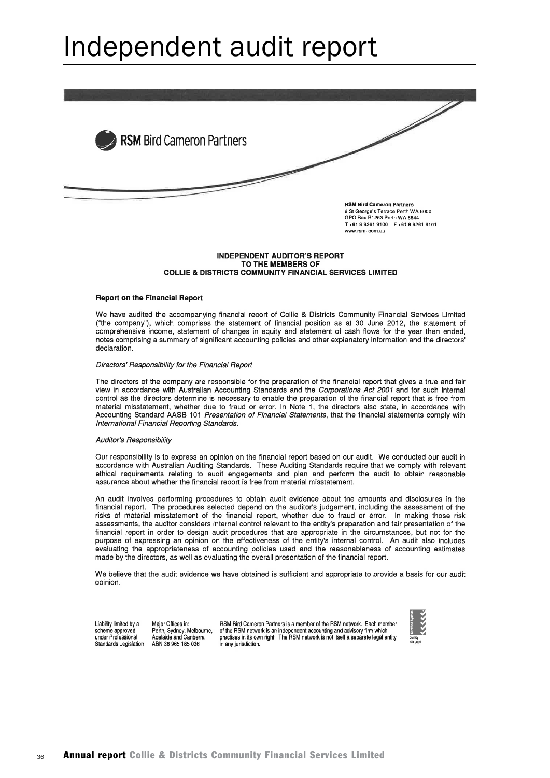# Independent audit report



8 St George's Terrace Perth WA 6000 GPO Box R1253 Perth WA 6844 T+61 8 9261 9100 F+61 8 9261 9101 www.rsmi.com.au

#### **INDEPENDENT AUDITOR'S REPORT** TO THE MEMBERS OF **COLLIE & DISTRICTS COMMUNITY FINANCIAL SERVICES LIMITED**

#### **Report on the Financial Report**

We have audited the accompanying financial report of Collie & Districts Community Financial Services Limited ("the company"), which comprises the statement of financial position as at 30 June 2012, the statement of comprehensive income, statement of changes in equity and statement of cash flows for the year then ended, notes comprising a summary of significant accounting policies and other explanatory information and the directors' declaration.

#### Directors' Responsibility for the Financial Report

The directors of the company are responsible for the preparation of the financial report that gives a true and fair view in accordance with Australian Accounting Standards and the Corporations Act 2001 and for such internal control as the directors determine is necessary to enable the preparation of the financial report that is free from material misstatement, whether due to fraud or error. In Note 1, the directors also state, in accordance with Accounting Standard AASB 101 Presentation of Financial Statements, that the financial statements comply with International Financial Reporting Standards.

#### Auditor's Responsibility

Our responsibility is to express an opinion on the financial report based on our audit. We conducted our audit in accordance with Australian Auditing Standards. These Auditing Standards require that we comply with relevant ethical requirements relating to audit engagements and plan and perform the audit to obtain reasonable assurance about whether the financial report is free from material misstatement.

An audit involves performing procedures to obtain audit evidence about the amounts and disclosures in the financial report. The procedures selected depend on the auditor's judgement, including the assessment of the risks of material misstatement of the financial report, whether due to fraud or error. In making those risk assessments, the auditor considers internal control relevant to the entity's preparation and fair presentation of the financial report in order to design audit procedures that are appropriate in the circumstances, but not for the purpose of expressing an opinion on the effectiveness of the entity's internal control. An audit also includes evaluating the appropriateness of accounting policies used and the reasonableness of accounting estimates made by the directors, as well as evaluating the overall presentation of the financial report.

We believe that the audit evidence we have obtained is sufficient and appropriate to provide a basis for our audit opinion.

Liability limited by a scheme approved<br>under Professional Standards Legislation Maior Offices in: Major Offices in:<br>Perth, Sydney, Melbourne,<br>Adelaide and Canberra ABN 36 965 185 036

RSM Bird Cameron Partners is a member of the RSM network. Each member HSM BIR Cameron Partners is a member of the HSM network. Each member<br>of the RSM network is an independent accounting and advisory firm which<br>practises in its own right. The RSM network is not itself a separate legal entity

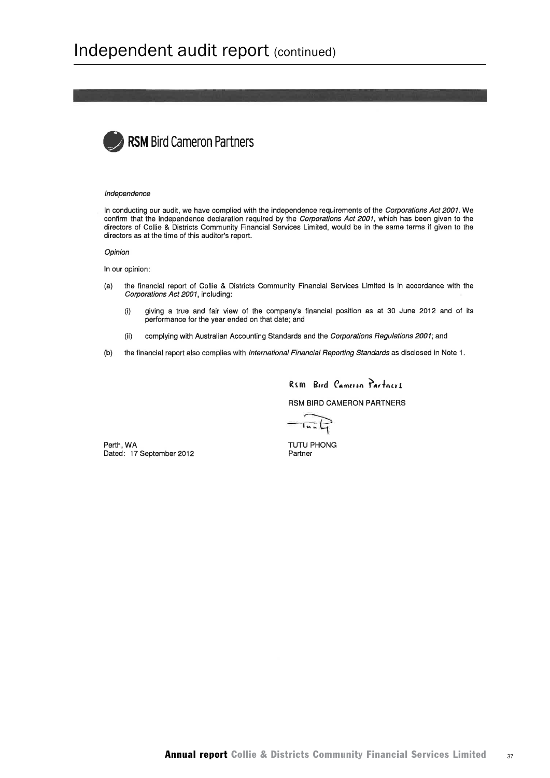

#### Independence

In conducting our audit, we have complied with the independence requirements of the Corporations Act 2001. We confirm that the independence declaration required by the Corporations Act 2001, which has been given to the directors of Collie & Districts Community Financial Services Limited, would be in the same terms if given to the directors as at the time of this auditor's report.

#### Opinion

In our opinion:

- the financial report of Collie & Districts Community Financial Services Limited is in accordance with the  $(a)$ Corporations Act 2001, including:
	- $(i)$ giving a true and fair view of the company's financial position as at 30 June 2012 and of its performance for the year ended on that date; and
	- complying with Australian Accounting Standards and the Corporations Regulations 2001; and  $(ii)$
- $(b)$ the financial report also complies with International Financial Reporting Standards as disclosed in Note 1.

Rsm Bird Cameron Partners

**RSM BIRD CAMERON PARTNERS** 

Perth, WA Dated: 17 September 2012 **TUTU PHONG** Partner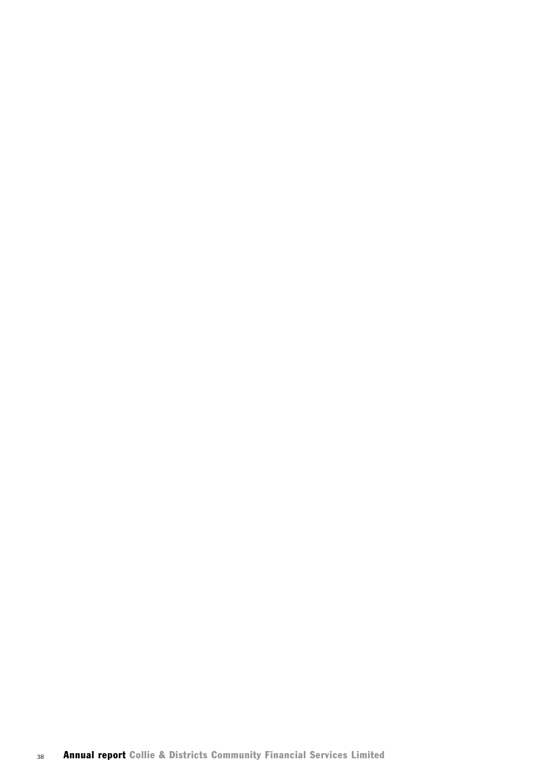Annual report Collie & Districts Community Financial Services Limited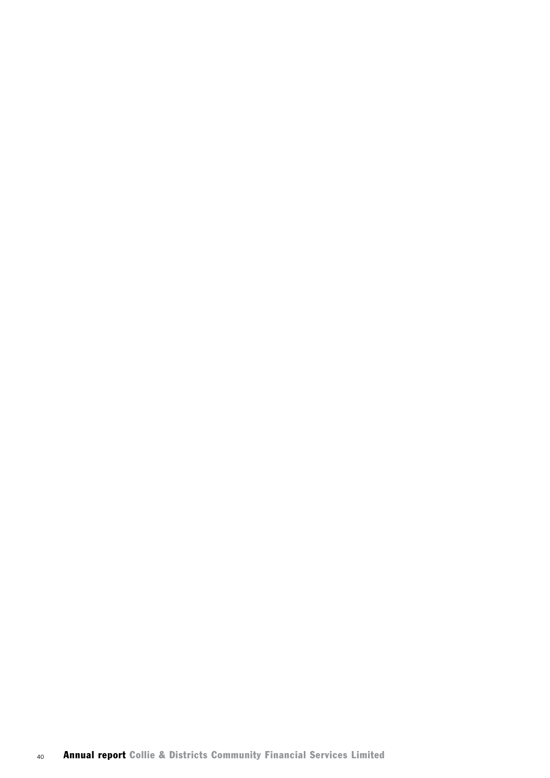Annual report Collie & Districts Community Financial Services Limited